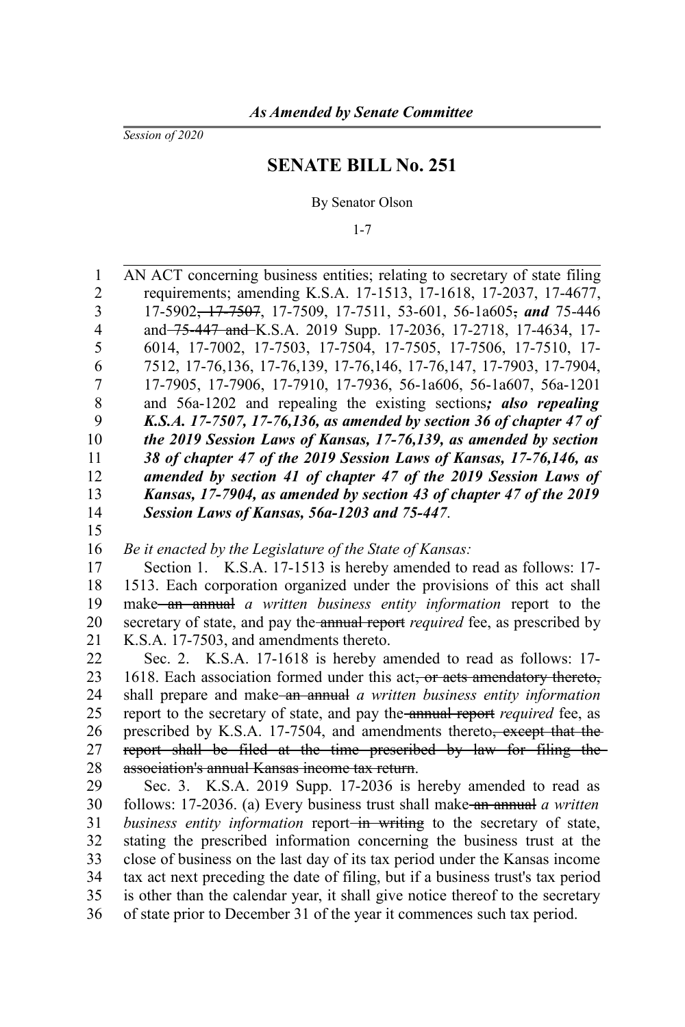*Session of 2020*

## **SENATE BILL No. 251**

By Senator Olson

1-7

AN ACT concerning business entities; relating to secretary of state filing requirements; amending K.S.A. 17-1513, 17-1618, 17-2037, 17-4677, 17-5902, 17-7507, 17-7509, 17-7511, 53-601, 56-1a605, *and* 75-446 and 75-447 and K.S.A. 2019 Supp. 17-2036, 17-2718, 17-4634, 17- 6014, 17-7002, 17-7503, 17-7504, 17-7505, 17-7506, 17-7510, 17- 7512, 17-76,136, 17-76,139, 17-76,146, 17-76,147, 17-7903, 17-7904, 17-7905, 17-7906, 17-7910, 17-7936, 56-1a606, 56-1a607, 56a-1201 and 56a-1202 and repealing the existing sections*; also repealing K.S.A. 17-7507, 17-76,136, as amended by section 36 of chapter 47 of the 2019 Session Laws of Kansas, 17-76,139, as amended by section 38 of chapter 47 of the 2019 Session Laws of Kansas, 17-76,146, as amended by section 41 of chapter 47 of the 2019 Session Laws of Kansas, 17-7904, as amended by section 43 of chapter 47 of the 2019 Session Laws of Kansas, 56a-1203 and 75-447*. *Be it enacted by the Legislature of the State of Kansas:* Section 1. K.S.A. 17-1513 is hereby amended to read as follows: 17- 1513. Each corporation organized under the provisions of this act shall make an annual *a written business entity information* report to the secretary of state, and pay the annual report *required* fee, as prescribed by K.S.A. 17-7503, and amendments thereto. Sec. 2. K.S.A. 17-1618 is hereby amended to read as follows: 17- 1618. Each association formed under this act, or acts amendatory thereto, shall prepare and make an annual *a written business entity information* report to the secretary of state, and pay the annual report *required* fee, as prescribed by K.S.A. 17-7504, and amendments thereto<del>, except that the</del> report shall be filed at the time prescribed by law for filing the association's annual Kansas income tax return. Sec. 3. K.S.A. 2019 Supp. 17-2036 is hereby amended to read as follows: 17-2036. (a) Every business trust shall make an annual *a written business entity information* report<del> in writing</del> to the secretary of state, stating the prescribed information concerning the business trust at the close of business on the last day of its tax period under the Kansas income 1 2 3 4 5 6 7 8 9 10 11 12 13 14 15 16 17 18 19 20 21 22 23 24 25 26 27 28 29 30 31 32 33

tax act next preceding the date of filing, but if a business trust's tax period 34

is other than the calendar year, it shall give notice thereof to the secretary of state prior to December 31 of the year it commences such tax period. 35 36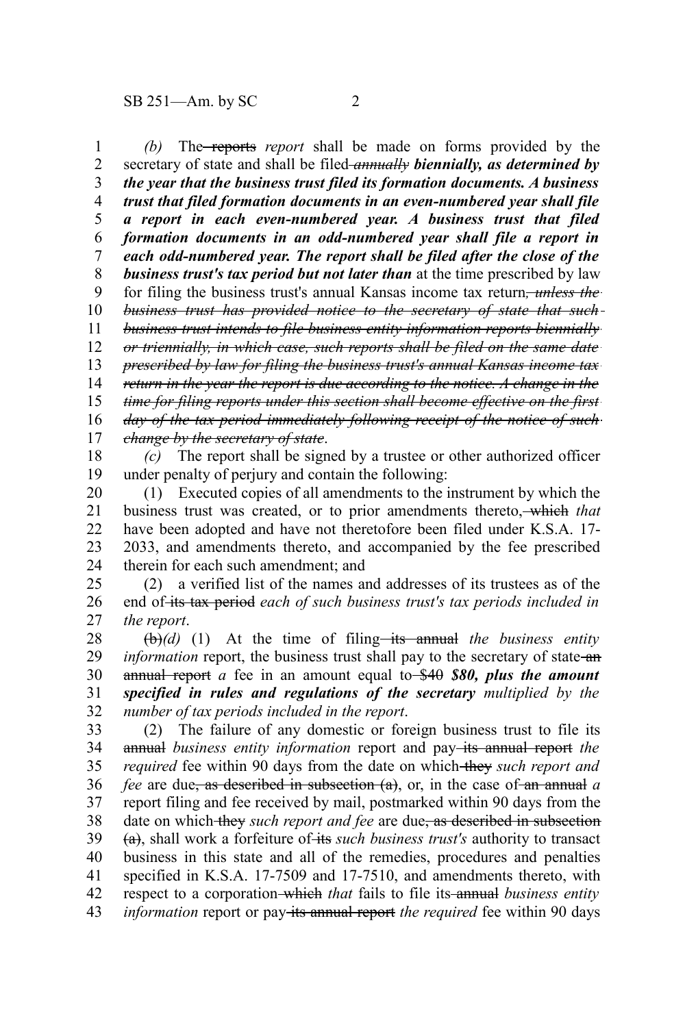*(b)* The reports *report* shall be made on forms provided by the secretary of state and shall be filed *annually biennially, as determined by the year that the business trust filed its formation documents. A business trust that filed formation documents in an even-numbered year shall file a report in each even-numbered year. A business trust that filed formation documents in an odd-numbered year shall file a report in each odd-numbered year. The report shall be filed after the close of the business trust's tax period but not later than* at the time prescribed by law for filing the business trust's annual Kansas income tax return*, unless the business trust has provided notice to the secretary of state that such business trust intends to file business entity information reports biennially or triennially, in which case, such reports shall be filed on the same date prescribed by law for filing the business trust's annual Kansas income tax return in the year the report is due according to the notice. A change in the time for filing reports under this section shall become effective on the first day of the tax period immediately following receipt of the notice of such change by the secretary of state*. 1 2 3 4 5 6 7 8 9 10 11 12 13 14 15 16 17

*(c)* The report shall be signed by a trustee or other authorized officer under penalty of perjury and contain the following: 18 19

(1) Executed copies of all amendments to the instrument by which the business trust was created, or to prior amendments thereto, which *that* have been adopted and have not theretofore been filed under K.S.A. 17- 2033, and amendments thereto, and accompanied by the fee prescribed therein for each such amendment; and 20 21 22 23 24

(2) a verified list of the names and addresses of its trustees as of the end of its tax period each of such business trust's tax periods included in *the report*. 25 26 27

 $(\theta)$ (d) (1) At the time of filing—its annual the business entity *information* report, the business trust shall pay to the secretary of state-anannual report *a* fee in an amount equal to \$40 *\$80, plus the amount specified in rules and regulations of the secretary multiplied by the number of tax periods included in the report*. 28 29 30 31 32

(2) The failure of any domestic or foreign business trust to file its annual *business entity information* report and pay-its annual report the *required* fee within 90 days from the date on which they such report and *fee* are due, as described in subsection (a), or, in the case of an annual *a* report filing and fee received by mail, postmarked within 90 days from the date on which they *such report and fee* are due, as described in subsection (a), shall work a forfeiture of its *such business trust's* authority to transact business in this state and all of the remedies, procedures and penalties specified in K.S.A. 17-7509 and 17-7510, and amendments thereto, with respect to a corporation-which *that* fails to file its annual *business entity information* report or pay-its annual report the required fee within 90 days 33 34 35 36 37 38 39 40 41 42 43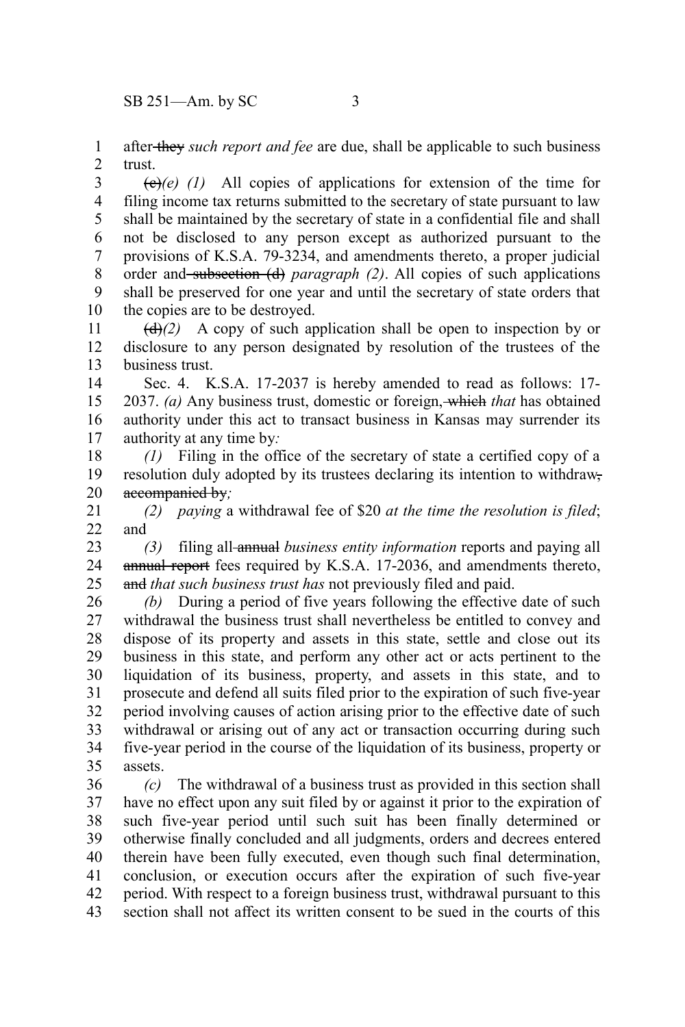after they *such report and fee* are due, shall be applicable to such business trust. 1 2

 $\left(\frac{e}{e}\right)(t)$  All copies of applications for extension of the time for filing income tax returns submitted to the secretary of state pursuant to law shall be maintained by the secretary of state in a confidential file and shall not be disclosed to any person except as authorized pursuant to the provisions of K.S.A. 79-3234, and amendments thereto, a proper judicial order and subsection (d) *paragraph (2)*. All copies of such applications shall be preserved for one year and until the secretary of state orders that the copies are to be destroyed. 3 4 5 6 7 8 9 10

 $\left(\frac{d}{dx}\right)$  A copy of such application shall be open to inspection by or disclosure to any person designated by resolution of the trustees of the business trust. 11 12 13

Sec. 4. K.S.A. 17-2037 is hereby amended to read as follows: 17- 2037. *(a)* Any business trust, domestic or foreign, which *that* has obtained authority under this act to transact business in Kansas may surrender its authority at any time by*:* 14 15 16 17

*(1)* Filing in the office of the secretary of state a certified copy of a resolution duly adopted by its trustees declaring its intention to withdrawaccompanied by*;* 18 19 20

*(2) paying* a withdrawal fee of \$20 *at the time the resolution is filed*; and 21 22

*(3)* filing all annual *business entity information* reports and paying all annual report fees required by K.S.A. 17-2036, and amendments thereto, and *that such business trust has* not previously filed and paid. 23 24 25

*(b)* During a period of five years following the effective date of such withdrawal the business trust shall nevertheless be entitled to convey and dispose of its property and assets in this state, settle and close out its business in this state, and perform any other act or acts pertinent to the liquidation of its business, property, and assets in this state, and to prosecute and defend all suits filed prior to the expiration of such five-year period involving causes of action arising prior to the effective date of such withdrawal or arising out of any act or transaction occurring during such five-year period in the course of the liquidation of its business, property or assets. 26 27 28 29 30 31 32 33 34 35

*(c)* The withdrawal of a business trust as provided in this section shall have no effect upon any suit filed by or against it prior to the expiration of such five-year period until such suit has been finally determined or otherwise finally concluded and all judgments, orders and decrees entered therein have been fully executed, even though such final determination, conclusion, or execution occurs after the expiration of such five-year period. With respect to a foreign business trust, withdrawal pursuant to this section shall not affect its written consent to be sued in the courts of this 36 37 38 39 40 41 42 43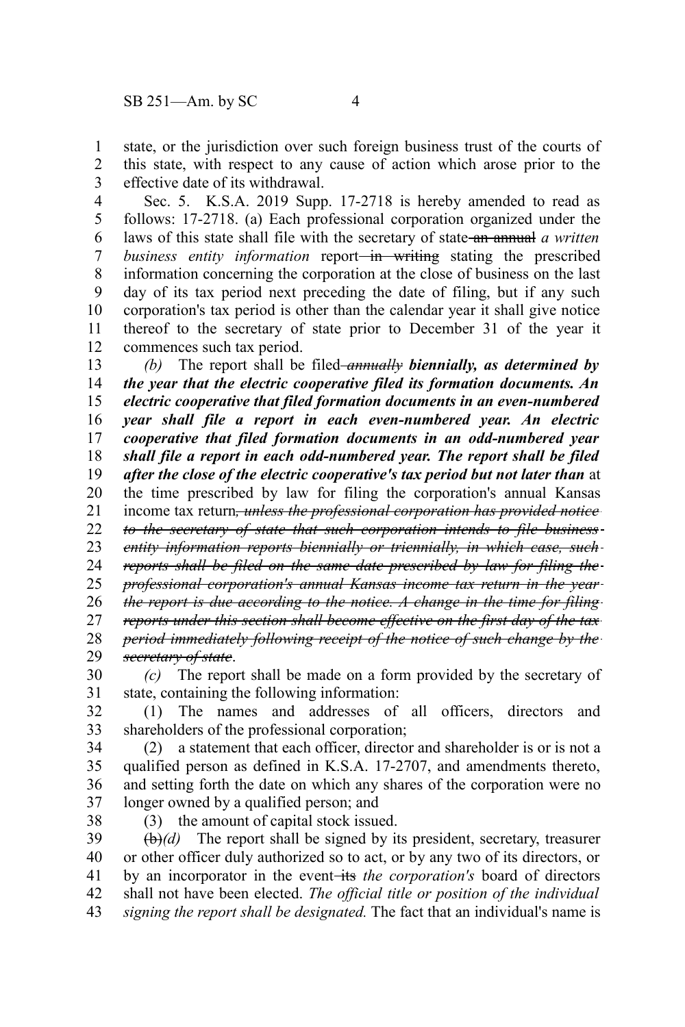state, or the jurisdiction over such foreign business trust of the courts of this state, with respect to any cause of action which arose prior to the effective date of its withdrawal. 1 2 3

Sec. 5. K.S.A. 2019 Supp. 17-2718 is hereby amended to read as follows: 17-2718. (a) Each professional corporation organized under the laws of this state shall file with the secretary of state an annual *a written business entity information* report—in writing stating the prescribed information concerning the corporation at the close of business on the last day of its tax period next preceding the date of filing, but if any such corporation's tax period is other than the calendar year it shall give notice thereof to the secretary of state prior to December 31 of the year it commences such tax period. 4 5 6 7 8 9 10 11 12

*(b)* The report shall be filed-*annually biennially, as determined by the year that the electric cooperative filed its formation documents. An electric cooperative that filed formation documents in an even-numbered year shall file a report in each even-numbered year. An electric cooperative that filed formation documents in an odd-numbered year shall file a report in each odd-numbered year. The report shall be filed after the close of the electric cooperative's tax period but not later than* at the time prescribed by law for filing the corporation's annual Kansas income tax return*, unless the professional corporation has provided notice to the secretary of state that such corporation intends to file business entity information reports biennially or triennially, in which case, such reports shall be filed on the same date prescribed by law for filing the professional corporation's annual Kansas income tax return in the year the report is due according to the notice. A change in the time for filing reports under this section shall become effective on the first day of the tax period immediately following receipt of the notice of such change by the secretary of state*. 13 14 15 16 17 18 19 20 21 22 23 24 25 26 27 28 29

*(c)* The report shall be made on a form provided by the secretary of state, containing the following information: 30 31

(1) The names and addresses of all officers, directors and shareholders of the professional corporation; 32 33

(2) a statement that each officer, director and shareholder is or is not a qualified person as defined in K.S.A. 17-2707, and amendments thereto, and setting forth the date on which any shares of the corporation were no longer owned by a qualified person; and 34 35 36 37

38

(3) the amount of capital stock issued.

(b)*(d)* The report shall be signed by its president, secretary, treasurer or other officer duly authorized so to act, or by any two of its directors, or by an incorporator in the event<del>-its</del> the corporation's board of directors shall not have been elected. *The official title or position of the individual signing the report shall be designated.* The fact that an individual's name is 39 40 41 42 43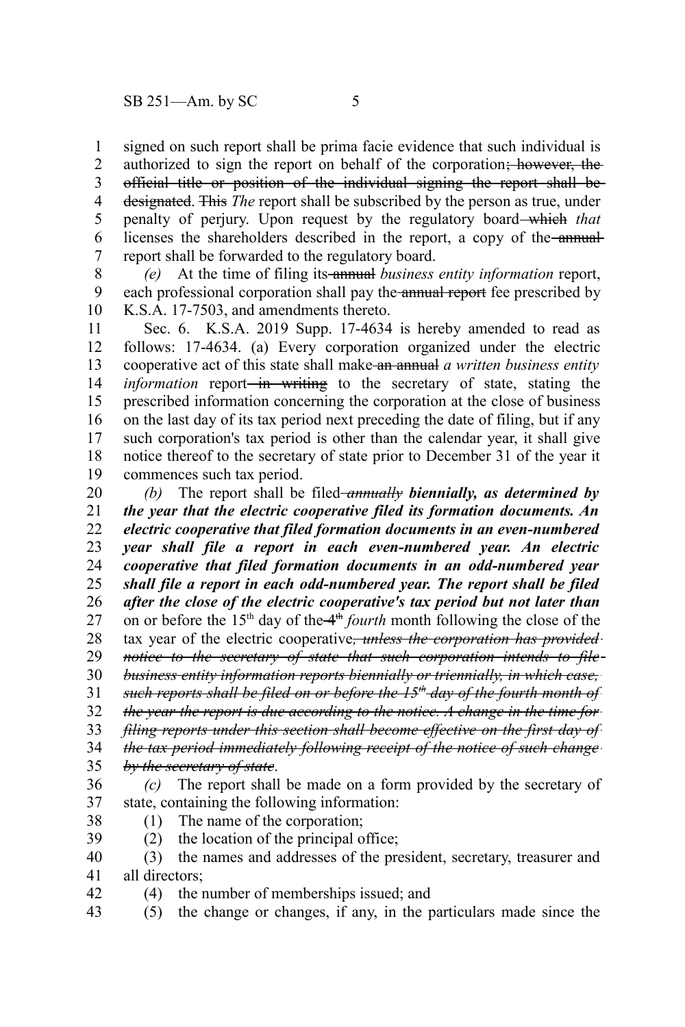signed on such report shall be prima facie evidence that such individual is authorized to sign the report on behalf of the corporation; however, the official title or position of the individual signing the report shall be designated. This *The* report shall be subscribed by the person as true, under penalty of perjury. Upon request by the regulatory board which *that* licenses the shareholders described in the report, a copy of the annualreport shall be forwarded to the regulatory board. 1 2 3 4 5 6 7

*(e)* At the time of filing its annual *business entity information* report, each professional corporation shall pay the annual report fee prescribed by K.S.A. 17-7503, and amendments thereto. 8 9 10

Sec. 6. K.S.A. 2019 Supp. 17-4634 is hereby amended to read as follows: 17-4634. (a) Every corporation organized under the electric cooperative act of this state shall make an annual *a written business entity information* report<del> in writing</del> to the secretary of state, stating the prescribed information concerning the corporation at the close of business on the last day of its tax period next preceding the date of filing, but if any such corporation's tax period is other than the calendar year, it shall give notice thereof to the secretary of state prior to December 31 of the year it commences such tax period. 11 12 13 14 15 16 17 18 19

*(b)* The report shall be filed *annually biennially, as determined by the year that the electric cooperative filed its formation documents. An electric cooperative that filed formation documents in an even-numbered year shall file a report in each even-numbered year. An electric cooperative that filed formation documents in an odd-numbered year shall file a report in each odd-numbered year. The report shall be filed after the close of the electric cooperative's tax period but not later than* on or before the  $15<sup>th</sup>$  day of the  $4<sup>th</sup>$  *fourth* month following the close of the tax year of the electric cooperative*, unless the corporation has provided notice to the secretary of state that such corporation intends to file* 20 21 22 23 24 25 26 27 28 29

*business entity information reports biennially or triennially, in which case,* 30

*such reports shall be filed on or before the 15th day of the fourth month of* 31

*the year the report is due according to the notice. A change in the time for* 32

*filing reports under this section shall become effective on the first day of* 33

*the tax period immediately following receipt of the notice of such change* 34

*by the secretary of state*. 35

- *(c)* The report shall be made on a form provided by the secretary of state, containing the following information: 36 37
- (1) The name of the corporation; 38
- (2) the location of the principal office; 39
- (3) the names and addresses of the president, secretary, treasurer and all directors; 40 41
- (4) the number of memberships issued; and 42
- (5) the change or changes, if any, in the particulars made since the 43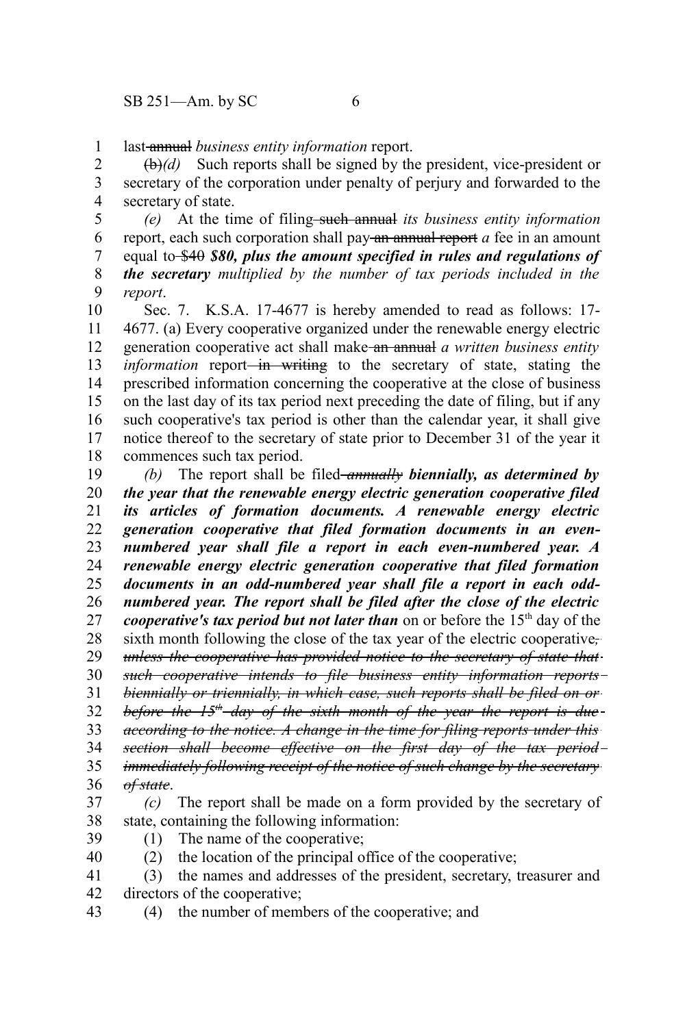last annual *business entity information* report. 1

(b)*(d)* Such reports shall be signed by the president, vice-president or secretary of the corporation under penalty of perjury and forwarded to the secretary of state. 2 3 4

*(e)* At the time of filing such annual *its business entity information* report, each such corporation shall pay an annual report *a* fee in an amount equal to \$40 \$80, plus the amount specified in rules and regulations of *the secretary multiplied by the number of tax periods included in the report*. 5 6 7 8 9

Sec. 7. K.S.A. 17-4677 is hereby amended to read as follows: 17- 4677. (a) Every cooperative organized under the renewable energy electric generation cooperative act shall make an annual *a written business entity information* report—in writing to the secretary of state, stating the prescribed information concerning the cooperative at the close of business on the last day of its tax period next preceding the date of filing, but if any such cooperative's tax period is other than the calendar year, it shall give notice thereof to the secretary of state prior to December 31 of the year it commences such tax period. 10 11 12 13 14 15 16 17 18

*(b)* The report shall be filed-annually **biennially**, as determined by *the year that the renewable energy electric generation cooperative filed its articles of formation documents. A renewable energy electric generation cooperative that filed formation documents in an evennumbered year shall file a report in each even-numbered year. A renewable energy electric generation cooperative that filed formation documents in an odd-numbered year shall file a report in each oddnumbered year. The report shall be filed after the close of the electric cooperative's tax period but not later than* on or before the 15<sup>th</sup> day of the sixth month following the close of the tax year of the electric cooperative*, unless the cooperative has provided notice to the secretary of state that such cooperative intends to file business entity information reports biennially or triennially, in which case, such reports shall be filed on or before the 15th day of the sixth month of the year the report is due according to the notice. A change in the time for filing reports under this section shall become effective on the first day of the tax period* 19 20 21 22 23 24 25 26 27 28 29 30 31 32 33 34

*immediately following receipt of the notice of such change by the secretary of state*. 35 36

- *(c)* The report shall be made on a form provided by the secretary of state, containing the following information: 37 38
- (1) The name of the cooperative; 39
- 40
- (2) the location of the principal office of the cooperative;
- (3) the names and addresses of the president, secretary, treasurer and directors of the cooperative; 41 42
- (4) the number of members of the cooperative; and 43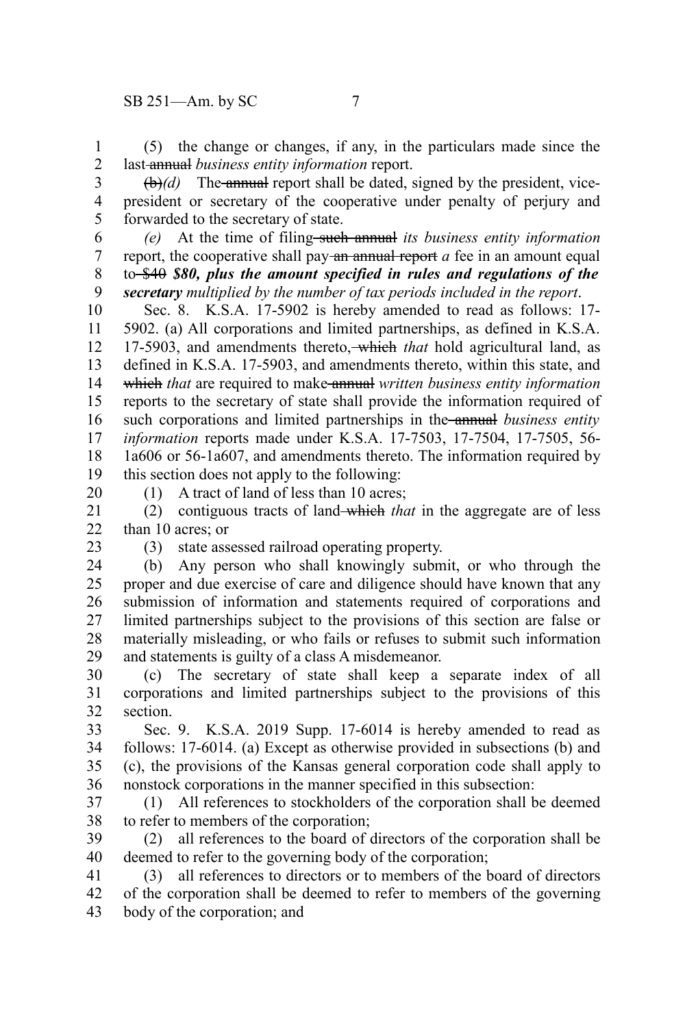(5) the change or changes, if any, in the particulars made since the last annual *business entity information* report. 1 2

 $(\theta)$ *(d)* The annual report shall be dated, signed by the president, vicepresident or secretary of the cooperative under penalty of perjury and forwarded to the secretary of state. 3 4 5

*(e)* At the time of filing such annual *its business entity information* report, the cooperative shall pay-an annual report *a* fee in an amount equal to \$40 *\$80, plus the amount specified in rules and regulations of the secretary multiplied by the number of tax periods included in the report*. 6 7 8 9

Sec. 8. K.S.A. 17-5902 is hereby amended to read as follows: 17- 5902. (a) All corporations and limited partnerships, as defined in K.S.A. 17-5903, and amendments thereto, which *that* hold agricultural land, as defined in K.S.A. 17-5903, and amendments thereto, within this state, and which *that* are required to make annual *written business entity information* reports to the secretary of state shall provide the information required of such corporations and limited partnerships in the annual *business entity information* reports made under K.S.A. 17-7503, 17-7504, 17-7505, 56- 1a606 or 56-1a607, and amendments thereto. The information required by this section does not apply to the following: 10 11 12 13 14 15 16 17 18 19

20

(1) A tract of land of less than 10 acres;

(2) contiguous tracts of land which *that* in the aggregate are of less than 10 acres; or 21 22

23

(3) state assessed railroad operating property.

(b) Any person who shall knowingly submit, or who through the proper and due exercise of care and diligence should have known that any submission of information and statements required of corporations and limited partnerships subject to the provisions of this section are false or materially misleading, or who fails or refuses to submit such information and statements is guilty of a class A misdemeanor. 24 25 26 27 28 29

(c) The secretary of state shall keep a separate index of all corporations and limited partnerships subject to the provisions of this section. 30 31 32

Sec. 9. K.S.A. 2019 Supp. 17-6014 is hereby amended to read as follows: 17-6014. (a) Except as otherwise provided in subsections (b) and (c), the provisions of the Kansas general corporation code shall apply to nonstock corporations in the manner specified in this subsection: 33 34 35 36

(1) All references to stockholders of the corporation shall be deemed to refer to members of the corporation; 37 38

(2) all references to the board of directors of the corporation shall be deemed to refer to the governing body of the corporation; 39 40

(3) all references to directors or to members of the board of directors of the corporation shall be deemed to refer to members of the governing body of the corporation; and 41 42 43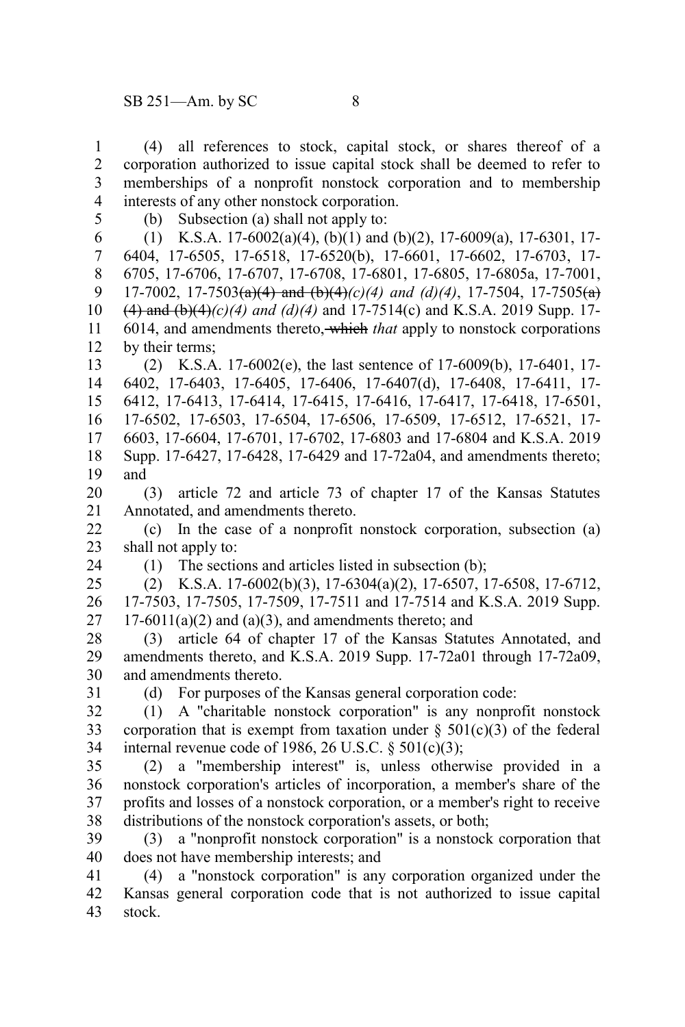(4) all references to stock, capital stock, or shares thereof of a corporation authorized to issue capital stock shall be deemed to refer to memberships of a nonprofit nonstock corporation and to membership interests of any other nonstock corporation. 1 2 3 4

5

(b) Subsection (a) shall not apply to:

(1) K.S.A. 17-6002(a)(4), (b)(1) and (b)(2), 17-6009(a), 17-6301, 17- 6404, 17-6505, 17-6518, 17-6520(b), 17-6601, 17-6602, 17-6703, 17- 6705, 17-6706, 17-6707, 17-6708, 17-6801, 17-6805, 17-6805a, 17-7001, 17-7002, 17-7503(a)(4) and (b)(4)*(c)(4) and (d)(4)*, 17-7504, 17-7505(a)  $(4)$  and  $(b)(4)$ *(c)*(4) and (d)(4) and 17-7514(c) and K.S.A. 2019 Supp. 17-6014, and amendments thereto, which *that* apply to nonstock corporations by their terms; 6 7 8 9 10 11 12

(2) K.S.A. 17-6002(e), the last sentence of 17-6009(b), 17-6401, 17- 6402, 17-6403, 17-6405, 17-6406, 17-6407(d), 17-6408, 17-6411, 17- 6412, 17-6413, 17-6414, 17-6415, 17-6416, 17-6417, 17-6418, 17-6501, 17-6502, 17-6503, 17-6504, 17-6506, 17-6509, 17-6512, 17-6521, 17- 6603, 17-6604, 17-6701, 17-6702, 17-6803 and 17-6804 and K.S.A. 2019 Supp. 17-6427, 17-6428, 17-6429 and 17-72a04, and amendments thereto; and 13 14 15 16 17 18 19

(3) article 72 and article 73 of chapter 17 of the Kansas Statutes Annotated, and amendments thereto. 20 21

(c) In the case of a nonprofit nonstock corporation, subsection (a) shall not apply to: 22 23

24

(1) The sections and articles listed in subsection (b);

(2) K.S.A. 17-6002(b)(3), 17-6304(a)(2), 17-6507, 17-6508, 17-6712, 17-7503, 17-7505, 17-7509, 17-7511 and 17-7514 and K.S.A. 2019 Supp.  $17-6011(a)(2)$  and  $(a)(3)$ , and amendments thereto; and 25 26 27

(3) article 64 of chapter 17 of the Kansas Statutes Annotated, and amendments thereto, and K.S.A. 2019 Supp. 17-72a01 through 17-72a09, and amendments thereto. 28 29 30

31

(d) For purposes of the Kansas general corporation code:

(1) A "charitable nonstock corporation" is any nonprofit nonstock corporation that is exempt from taxation under  $\S$  501(c)(3) of the federal internal revenue code of 1986, 26 U.S.C.  $\S$  501(c)(3); 32 33 34

(2) a "membership interest" is, unless otherwise provided in a nonstock corporation's articles of incorporation, a member's share of the profits and losses of a nonstock corporation, or a member's right to receive distributions of the nonstock corporation's assets, or both; 35 36 37 38

(3) a "nonprofit nonstock corporation" is a nonstock corporation that does not have membership interests; and 39 40

(4) a "nonstock corporation" is any corporation organized under the Kansas general corporation code that is not authorized to issue capital stock. 41 42 43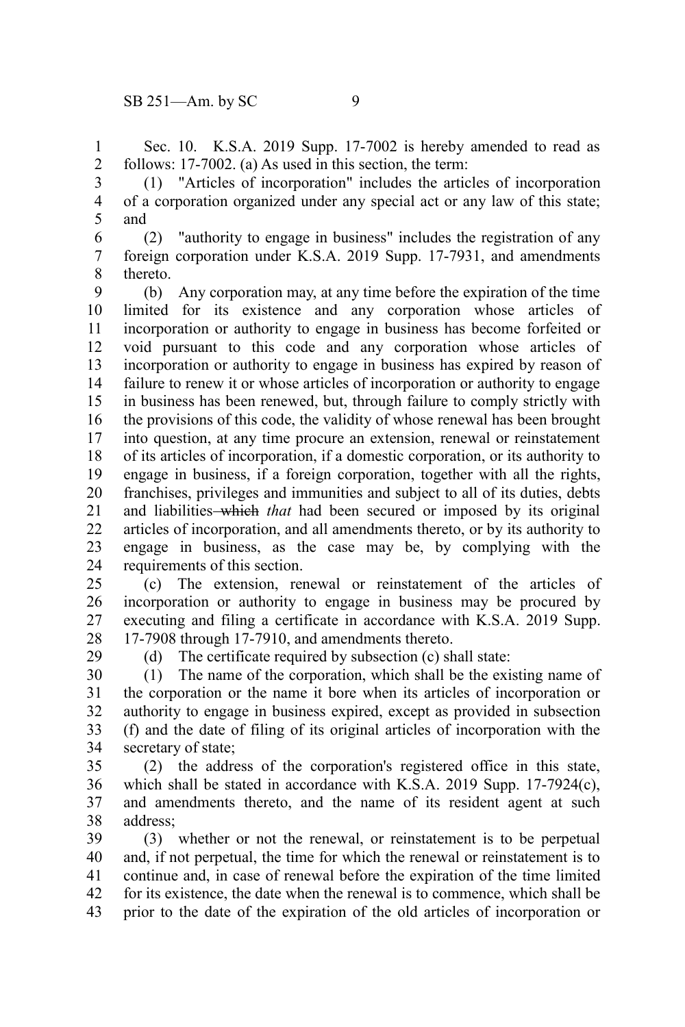29

Sec. 10. K.S.A. 2019 Supp. 17-7002 is hereby amended to read as follows: 17-7002. (a) As used in this section, the term: 1 2

(1) "Articles of incorporation" includes the articles of incorporation of a corporation organized under any special act or any law of this state; and 3 4 5

(2) "authority to engage in business" includes the registration of any foreign corporation under K.S.A. 2019 Supp. 17-7931, and amendments thereto. 6 7 8

(b) Any corporation may, at any time before the expiration of the time limited for its existence and any corporation whose articles of incorporation or authority to engage in business has become forfeited or void pursuant to this code and any corporation whose articles of incorporation or authority to engage in business has expired by reason of failure to renew it or whose articles of incorporation or authority to engage in business has been renewed, but, through failure to comply strictly with the provisions of this code, the validity of whose renewal has been brought into question, at any time procure an extension, renewal or reinstatement of its articles of incorporation, if a domestic corporation, or its authority to engage in business, if a foreign corporation, together with all the rights, franchises, privileges and immunities and subject to all of its duties, debts and liabilities which *that* had been secured or imposed by its original articles of incorporation, and all amendments thereto, or by its authority to engage in business, as the case may be, by complying with the requirements of this section. 9 10 11 12 13 14 15 16 17 18 19 20 21 22 23 24

(c) The extension, renewal or reinstatement of the articles of incorporation or authority to engage in business may be procured by executing and filing a certificate in accordance with K.S.A. 2019 Supp. 17-7908 through 17-7910, and amendments thereto. 25 26 27 28

(d) The certificate required by subsection (c) shall state:

(1) The name of the corporation, which shall be the existing name of the corporation or the name it bore when its articles of incorporation or authority to engage in business expired, except as provided in subsection (f) and the date of filing of its original articles of incorporation with the secretary of state; 30 31 32 33 34

(2) the address of the corporation's registered office in this state, which shall be stated in accordance with K.S.A. 2019 Supp. 17-7924(c), and amendments thereto, and the name of its resident agent at such address; 35 36 37 38

(3) whether or not the renewal, or reinstatement is to be perpetual and, if not perpetual, the time for which the renewal or reinstatement is to continue and, in case of renewal before the expiration of the time limited for its existence, the date when the renewal is to commence, which shall be prior to the date of the expiration of the old articles of incorporation or 39 40 41 42 43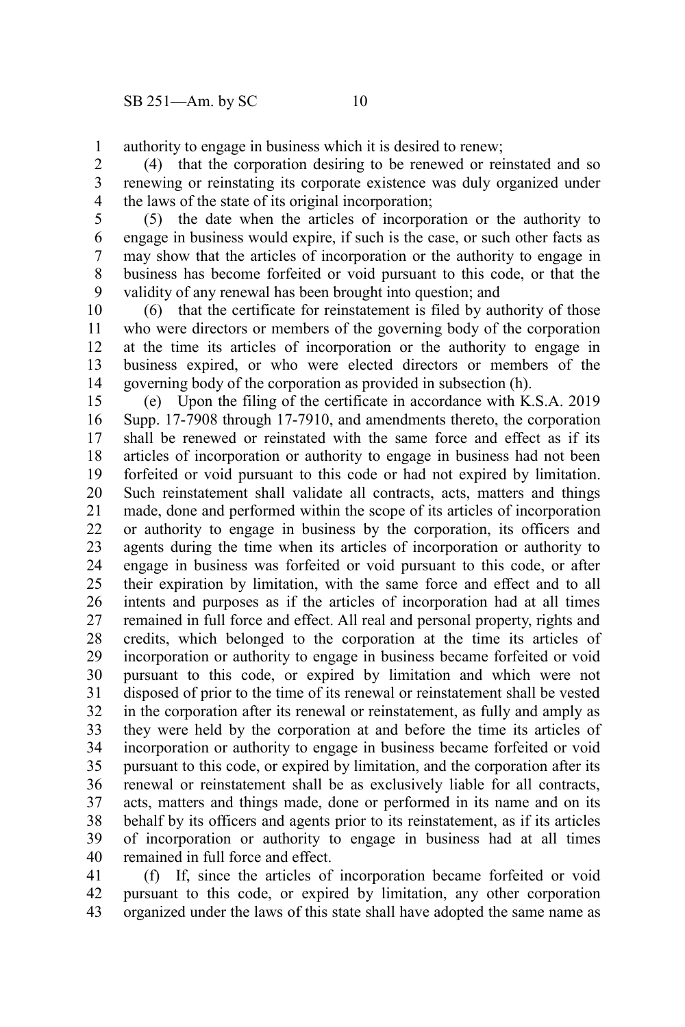authority to engage in business which it is desired to renew; 1

(4) that the corporation desiring to be renewed or reinstated and so renewing or reinstating its corporate existence was duly organized under the laws of the state of its original incorporation; 2 3 4

(5) the date when the articles of incorporation or the authority to engage in business would expire, if such is the case, or such other facts as may show that the articles of incorporation or the authority to engage in business has become forfeited or void pursuant to this code, or that the validity of any renewal has been brought into question; and 5 6 7 8 9

(6) that the certificate for reinstatement is filed by authority of those who were directors or members of the governing body of the corporation at the time its articles of incorporation or the authority to engage in business expired, or who were elected directors or members of the governing body of the corporation as provided in subsection (h). 10 11 12 13 14

(e) Upon the filing of the certificate in accordance with K.S.A. 2019 Supp. 17-7908 through 17-7910, and amendments thereto, the corporation shall be renewed or reinstated with the same force and effect as if its articles of incorporation or authority to engage in business had not been forfeited or void pursuant to this code or had not expired by limitation. Such reinstatement shall validate all contracts, acts, matters and things made, done and performed within the scope of its articles of incorporation or authority to engage in business by the corporation, its officers and agents during the time when its articles of incorporation or authority to engage in business was forfeited or void pursuant to this code, or after their expiration by limitation, with the same force and effect and to all intents and purposes as if the articles of incorporation had at all times remained in full force and effect. All real and personal property, rights and credits, which belonged to the corporation at the time its articles of incorporation or authority to engage in business became forfeited or void pursuant to this code, or expired by limitation and which were not disposed of prior to the time of its renewal or reinstatement shall be vested in the corporation after its renewal or reinstatement, as fully and amply as they were held by the corporation at and before the time its articles of incorporation or authority to engage in business became forfeited or void pursuant to this code, or expired by limitation, and the corporation after its renewal or reinstatement shall be as exclusively liable for all contracts, acts, matters and things made, done or performed in its name and on its behalf by its officers and agents prior to its reinstatement, as if its articles of incorporation or authority to engage in business had at all times remained in full force and effect. 15 16 17 18 19 20 21 22 23 24 25 26 27 28 29 30 31 32 33 34 35 36 37 38 39 40

(f) If, since the articles of incorporation became forfeited or void pursuant to this code, or expired by limitation, any other corporation organized under the laws of this state shall have adopted the same name as 41 42 43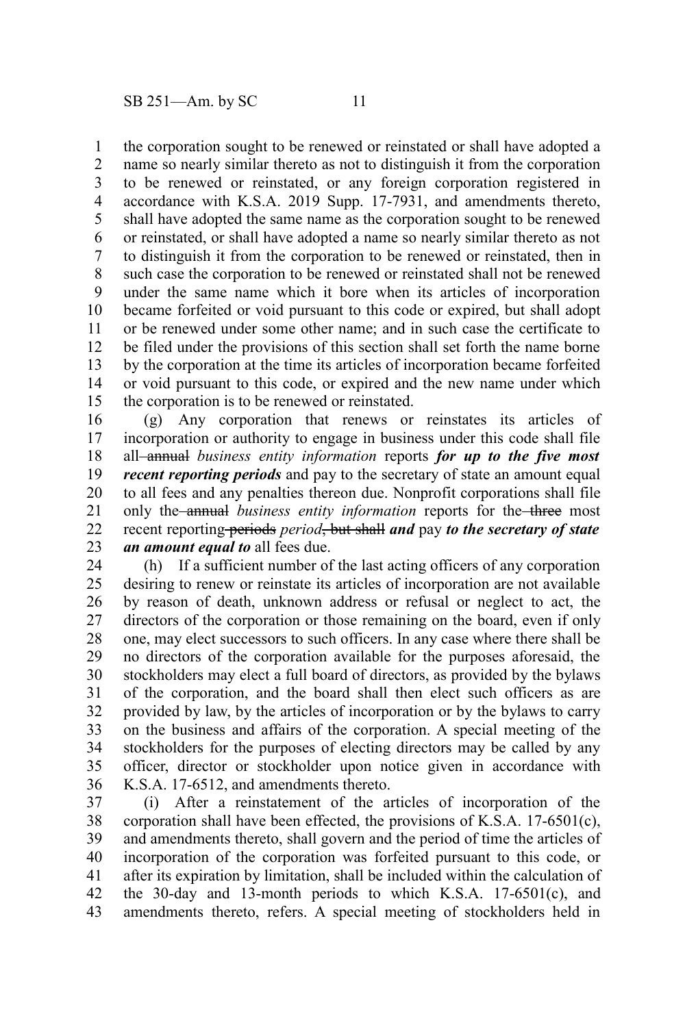the corporation sought to be renewed or reinstated or shall have adopted a 1

name so nearly similar thereto as not to distinguish it from the corporation to be renewed or reinstated, or any foreign corporation registered in accordance with K.S.A. 2019 Supp. 17-7931, and amendments thereto, shall have adopted the same name as the corporation sought to be renewed or reinstated, or shall have adopted a name so nearly similar thereto as not to distinguish it from the corporation to be renewed or reinstated, then in such case the corporation to be renewed or reinstated shall not be renewed under the same name which it bore when its articles of incorporation became forfeited or void pursuant to this code or expired, but shall adopt or be renewed under some other name; and in such case the certificate to be filed under the provisions of this section shall set forth the name borne by the corporation at the time its articles of incorporation became forfeited or void pursuant to this code, or expired and the new name under which the corporation is to be renewed or reinstated. 2 3 4 5 6 7 8 9 10 11 12 13 14 15

(g) Any corporation that renews or reinstates its articles of incorporation or authority to engage in business under this code shall file all annual *business entity information* reports *for up to the five most recent reporting periods* and pay to the secretary of state an amount equal to all fees and any penalties thereon due. Nonprofit corporations shall file only the annual *business entity information* reports for the three most recent reporting-periods *period*, but shall and pay to the secretary of state *an amount equal to* all fees due. 16 17 18 19 20 21 22 23

(h) If a sufficient number of the last acting officers of any corporation desiring to renew or reinstate its articles of incorporation are not available by reason of death, unknown address or refusal or neglect to act, the directors of the corporation or those remaining on the board, even if only one, may elect successors to such officers. In any case where there shall be no directors of the corporation available for the purposes aforesaid, the stockholders may elect a full board of directors, as provided by the bylaws of the corporation, and the board shall then elect such officers as are provided by law, by the articles of incorporation or by the bylaws to carry on the business and affairs of the corporation. A special meeting of the stockholders for the purposes of electing directors may be called by any officer, director or stockholder upon notice given in accordance with K.S.A. 17-6512, and amendments thereto. 24 25 26 27 28 29 30 31 32 33 34 35 36

(i) After a reinstatement of the articles of incorporation of the corporation shall have been effected, the provisions of K.S.A. 17-6501(c), and amendments thereto, shall govern and the period of time the articles of incorporation of the corporation was forfeited pursuant to this code, or after its expiration by limitation, shall be included within the calculation of the 30-day and 13-month periods to which K.S.A. 17-6501(c), and amendments thereto, refers. A special meeting of stockholders held in 37 38 39 40 41 42 43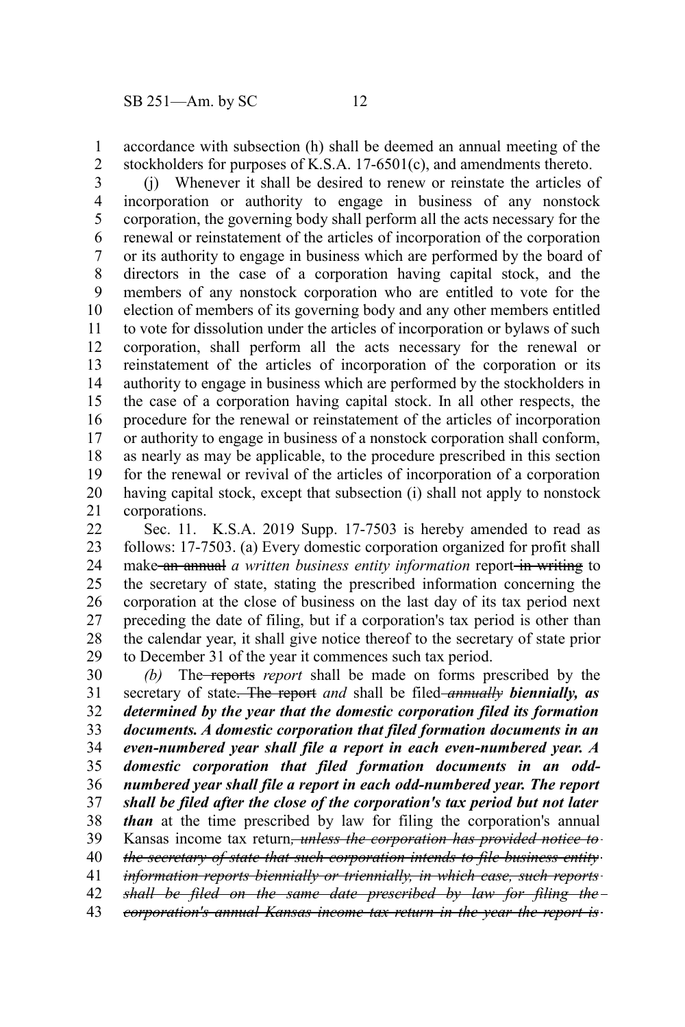accordance with subsection (h) shall be deemed an annual meeting of the stockholders for purposes of K.S.A. 17-6501(c), and amendments thereto. 1 2

(j) Whenever it shall be desired to renew or reinstate the articles of incorporation or authority to engage in business of any nonstock corporation, the governing body shall perform all the acts necessary for the renewal or reinstatement of the articles of incorporation of the corporation or its authority to engage in business which are performed by the board of directors in the case of a corporation having capital stock, and the members of any nonstock corporation who are entitled to vote for the election of members of its governing body and any other members entitled to vote for dissolution under the articles of incorporation or bylaws of such corporation, shall perform all the acts necessary for the renewal or reinstatement of the articles of incorporation of the corporation or its authority to engage in business which are performed by the stockholders in the case of a corporation having capital stock. In all other respects, the procedure for the renewal or reinstatement of the articles of incorporation or authority to engage in business of a nonstock corporation shall conform, as nearly as may be applicable, to the procedure prescribed in this section for the renewal or revival of the articles of incorporation of a corporation having capital stock, except that subsection (i) shall not apply to nonstock corporations. 3 4 5 6 7 8 9 10 11 12 13 14 15 16 17 18 19 20 21

Sec. 11. K.S.A. 2019 Supp. 17-7503 is hereby amended to read as follows: 17-7503. (a) Every domestic corporation organized for profit shall make an annual *a written business entity information* report-in writing to the secretary of state, stating the prescribed information concerning the corporation at the close of business on the last day of its tax period next preceding the date of filing, but if a corporation's tax period is other than the calendar year, it shall give notice thereof to the secretary of state prior to December 31 of the year it commences such tax period. 22 23 24 25 26 27 28 29

*(b)* The reports *report* shall be made on forms prescribed by the secretary of state. The report *and* shall be filed *annually biennially, as determined by the year that the domestic corporation filed its formation documents. A domestic corporation that filed formation documents in an even-numbered year shall file a report in each even-numbered year. A domestic corporation that filed formation documents in an oddnumbered year shall file a report in each odd-numbered year. The report shall be filed after the close of the corporation's tax period but not later than* at the time prescribed by law for filing the corporation's annual Kansas income tax return*, unless the corporation has provided notice to the secretary of state that such corporation intends to file business entity information reports biennially or triennially, in which case, such reports shall be filed on the same date prescribed by law for filing the corporation's annual Kansas income tax return in the year the report is* 30 31 32 33 34 35 36 37 38 39 40 41 42 43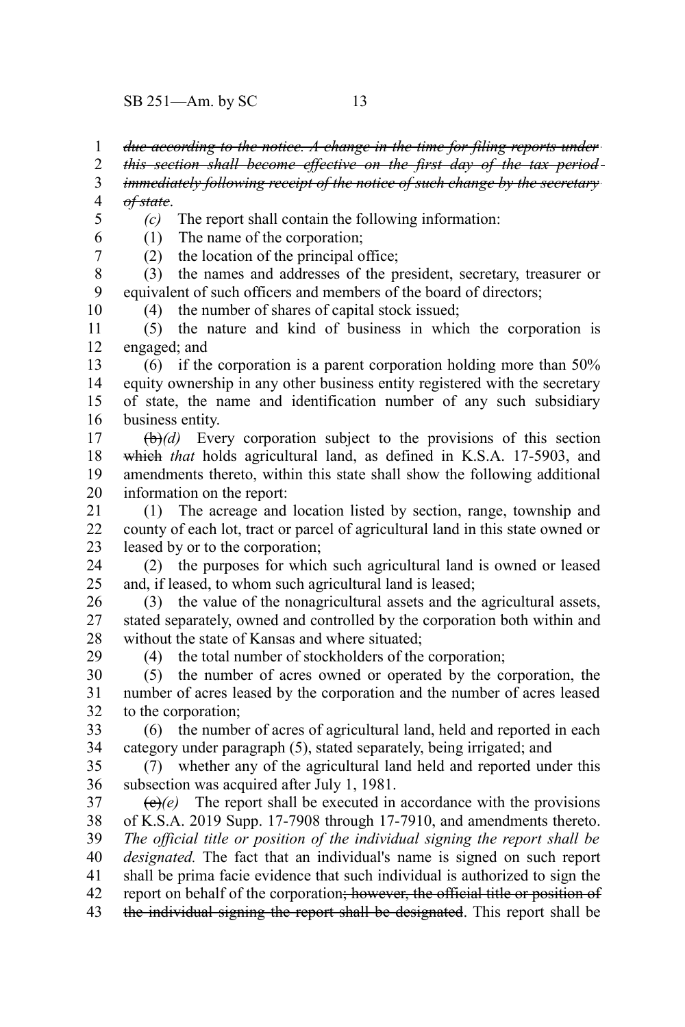SB 251—Am. by SC 13

*due according to the notice. A change in the time for filing reports under* 1

*this section shall become effective on the first day of the tax period* 2

*immediately following receipt of the notice of such change by the secretary of state*. 3 4

5

6 7

10

29

*(c)* The report shall contain the following information:

(1) The name of the corporation;

(2) the location of the principal office;

(3) the names and addresses of the president, secretary, treasurer or equivalent of such officers and members of the board of directors; 8 9

(4) the number of shares of capital stock issued;

(5) the nature and kind of business in which the corporation is engaged; and 11 12

(6) if the corporation is a parent corporation holding more than 50% equity ownership in any other business entity registered with the secretary of state, the name and identification number of any such subsidiary business entity. 13 14 15 16

(b)*(d)* Every corporation subject to the provisions of this section which *that* holds agricultural land, as defined in K.S.A. 17-5903, and amendments thereto, within this state shall show the following additional information on the report: 17 18 19 20

(1) The acreage and location listed by section, range, township and county of each lot, tract or parcel of agricultural land in this state owned or leased by or to the corporation; 21 22 23

(2) the purposes for which such agricultural land is owned or leased and, if leased, to whom such agricultural land is leased; 24 25

(3) the value of the nonagricultural assets and the agricultural assets, stated separately, owned and controlled by the corporation both within and without the state of Kansas and where situated; 26 27 28

(4) the total number of stockholders of the corporation;

(5) the number of acres owned or operated by the corporation, the number of acres leased by the corporation and the number of acres leased to the corporation; 30 31 32

(6) the number of acres of agricultural land, held and reported in each category under paragraph (5), stated separately, being irrigated; and 33 34

(7) whether any of the agricultural land held and reported under this subsection was acquired after July 1, 1981. 35 36

 $\langle e \rangle$ (e) The report shall be executed in accordance with the provisions of K.S.A. 2019 Supp. 17-7908 through 17-7910, and amendments thereto. *The official title or position of the individual signing the report shall be designated.* The fact that an individual's name is signed on such report shall be prima facie evidence that such individual is authorized to sign the report on behalf of the corporation; however, the official title or position of the individual signing the report shall be designated. This report shall be 37 38 39 40 41 42 43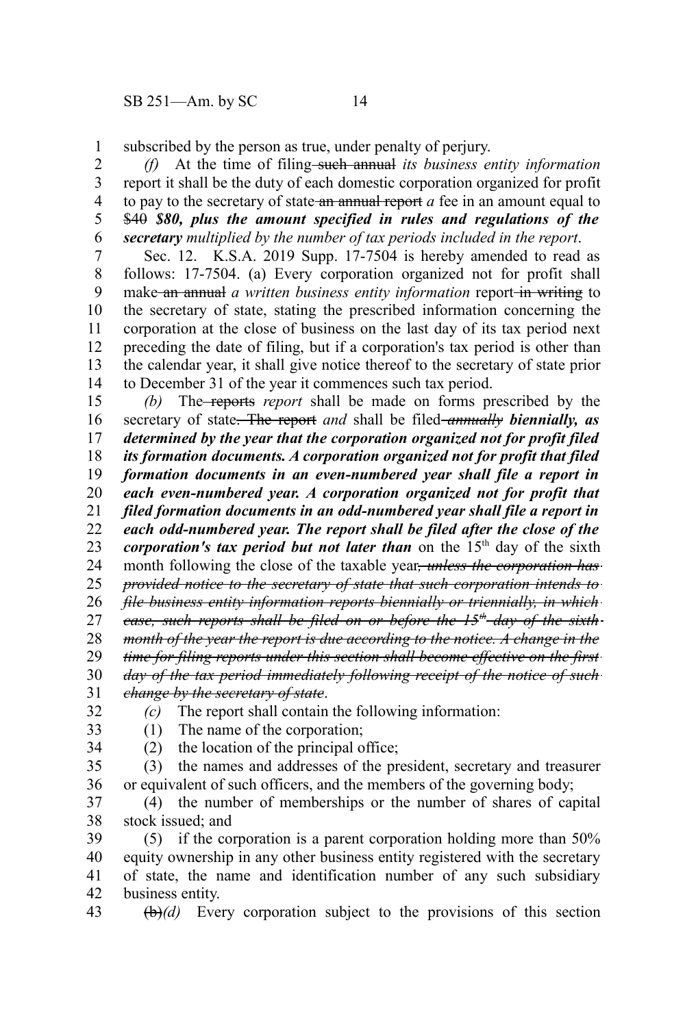subscribed by the person as true, under penalty of perjury. 1

*(f)* At the time of filing such annual *its business entity information* report it shall be the duty of each domestic corporation organized for profit to pay to the secretary of state an annual report *a* fee in an amount equal to \$40 *\$80, plus the amount specified in rules and regulations of the secretary multiplied by the number of tax periods included in the report*. 2 3 4 5 6

Sec. 12. K.S.A. 2019 Supp. 17-7504 is hereby amended to read as follows: 17-7504. (a) Every corporation organized not for profit shall make an annual *a written business entity information* report in writing to the secretary of state, stating the prescribed information concerning the corporation at the close of business on the last day of its tax period next preceding the date of filing, but if a corporation's tax period is other than the calendar year, it shall give notice thereof to the secretary of state prior to December 31 of the year it commences such tax period. 7 8 9 10 11 12 13 14

*(b)* The reports *report* shall be made on forms prescribed by the secretary of state. The report *and* shall be filed *annually biennially, as determined by the year that the corporation organized not for profit filed its formation documents. A corporation organized not for profit that filed formation documents in an even-numbered year shall file a report in each even-numbered year. A corporation organized not for profit that filed formation documents in an odd-numbered year shall file a report in each odd-numbered year. The report shall be filed after the close of the corporation's tax period but not later than* on the 15<sup>th</sup> day of the sixth month following the close of the taxable year, *unless the corporation has provided notice to the secretary of state that such corporation intends to file business entity information reports biennially or triennially, in which case, such reports shall be filed on or before the 15th day of the sixth month of the year the report is due according to the notice. A change in the time for filing reports under this section shall become effective on the first day of the tax period immediately following receipt of the notice of such change by the secretary of state*. *(c)* The report shall contain the following information: 15 16 17 18 19 20 21 22 23 24 25 26 27 28 29 30 31 32

33

(1) The name of the corporation;

34

(2) the location of the principal office;

(3) the names and addresses of the president, secretary and treasurer or equivalent of such officers, and the members of the governing body; 35 36

(4) the number of memberships or the number of shares of capital stock issued; and 37 38

(5) if the corporation is a parent corporation holding more than 50% equity ownership in any other business entity registered with the secretary of state, the name and identification number of any such subsidiary business entity. 39 40 41 42

(b)*(d)* Every corporation subject to the provisions of this section 43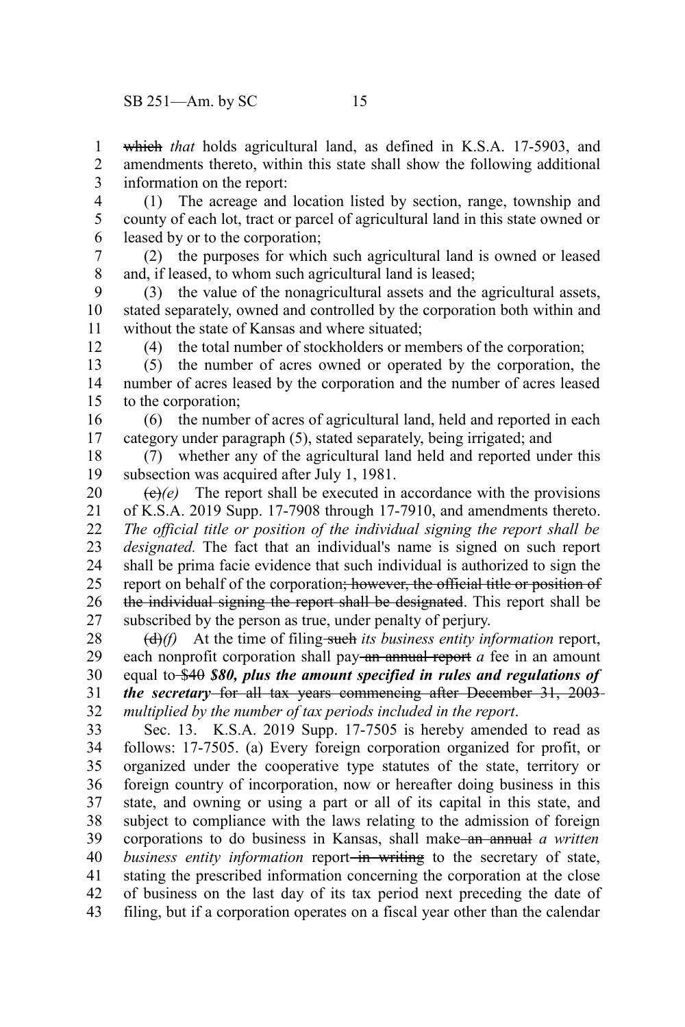which *that* holds agricultural land, as defined in K.S.A. 17-5903, and amendments thereto, within this state shall show the following additional information on the report: 1 2 3

(1) The acreage and location listed by section, range, township and county of each lot, tract or parcel of agricultural land in this state owned or leased by or to the corporation; 4 5 6

(2) the purposes for which such agricultural land is owned or leased and, if leased, to whom such agricultural land is leased; 7 8

(3) the value of the nonagricultural assets and the agricultural assets, stated separately, owned and controlled by the corporation both within and without the state of Kansas and where situated; 9 10 11

12

(4) the total number of stockholders or members of the corporation;

(5) the number of acres owned or operated by the corporation, the number of acres leased by the corporation and the number of acres leased to the corporation; 13 14 15

(6) the number of acres of agricultural land, held and reported in each category under paragraph (5), stated separately, being irrigated; and 16 17

(7) whether any of the agricultural land held and reported under this subsection was acquired after July 1, 1981. 18 19

 $\left(\frac{e}{e}\right)(e)$  The report shall be executed in accordance with the provisions of K.S.A. 2019 Supp. 17-7908 through 17-7910, and amendments thereto. *The official title or position of the individual signing the report shall be designated.* The fact that an individual's name is signed on such report shall be prima facie evidence that such individual is authorized to sign the report on behalf of the corporation; however, the official title or position of the individual signing the report shall be designated. This report shall be subscribed by the person as true, under penalty of perjury. 20 21 22 23 24 25 26 27

(d)*(f)* At the time of filing such *its business entity information* report, each nonprofit corporation shall pay-an annual report *a* fee in an amount equal to \$40 *\$80, plus the amount specified in rules and regulations of the secretary* for all tax years commencing after December 31, 2003 *multiplied by the number of tax periods included in the report*. 28 29 30 31 32

Sec. 13. K.S.A. 2019 Supp. 17-7505 is hereby amended to read as follows: 17-7505. (a) Every foreign corporation organized for profit, or organized under the cooperative type statutes of the state, territory or foreign country of incorporation, now or hereafter doing business in this state, and owning or using a part or all of its capital in this state, and subject to compliance with the laws relating to the admission of foreign corporations to do business in Kansas, shall make an annual *a written business entity information* report-in writing to the secretary of state, stating the prescribed information concerning the corporation at the close of business on the last day of its tax period next preceding the date of filing, but if a corporation operates on a fiscal year other than the calendar 33 34 35 36 37 38 39 40 41 42 43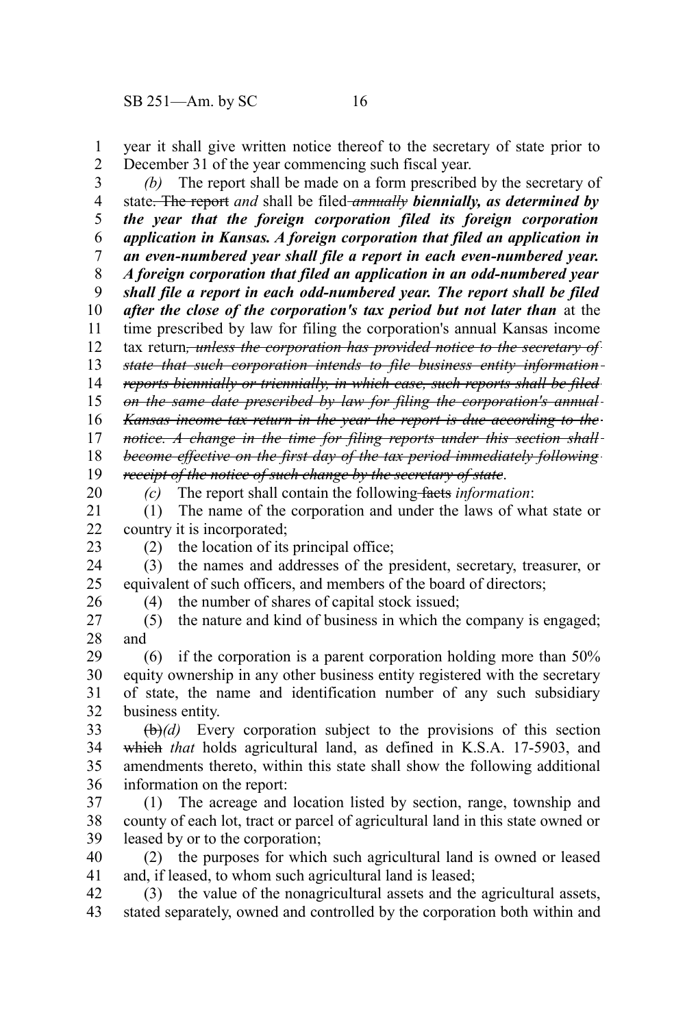year it shall give written notice thereof to the secretary of state prior to December 31 of the year commencing such fiscal year. 1 2

*(b)* The report shall be made on a form prescribed by the secretary of state. The report *and* shall be filed *annually biennially, as determined by the year that the foreign corporation filed its foreign corporation application in Kansas. A foreign corporation that filed an application in an even-numbered year shall file a report in each even-numbered year. A foreign corporation that filed an application in an odd-numbered year shall file a report in each odd-numbered year. The report shall be filed after the close of the corporation's tax period but not later than* at the time prescribed by law for filing the corporation's annual Kansas income tax return*, unless the corporation has provided notice to the secretary of state that such corporation intends to file business entity information reports biennially or triennially, in which case, such reports shall be filed on the same date prescribed by law for filing the corporation's annual Kansas income tax return in the year the report is due according to the notice. A change in the time for filing reports under this section shall become effective on the first day of the tax period immediately following receipt of the notice of such change by the secretary of state*. 3 4 5 6 7 8 9 10 11 12 13 14 15 16 17 18 19

*(c)* The report shall contain the following facts *information*:

(1) The name of the corporation and under the laws of what state or country it is incorporated; 21 22

23

26

20

(2) the location of its principal office;

(3) the names and addresses of the president, secretary, treasurer, or equivalent of such officers, and members of the board of directors; 24 25

(4) the number of shares of capital stock issued;

(5) the nature and kind of business in which the company is engaged; and 27 28

(6) if the corporation is a parent corporation holding more than 50% equity ownership in any other business entity registered with the secretary of state, the name and identification number of any such subsidiary business entity. 29 30 31 32

(b)*(d)* Every corporation subject to the provisions of this section which *that* holds agricultural land, as defined in K.S.A. 17-5903, and amendments thereto, within this state shall show the following additional information on the report: 33 34 35 36

(1) The acreage and location listed by section, range, township and county of each lot, tract or parcel of agricultural land in this state owned or leased by or to the corporation; 37 38 39

(2) the purposes for which such agricultural land is owned or leased and, if leased, to whom such agricultural land is leased; 40 41

(3) the value of the nonagricultural assets and the agricultural assets, stated separately, owned and controlled by the corporation both within and 42 43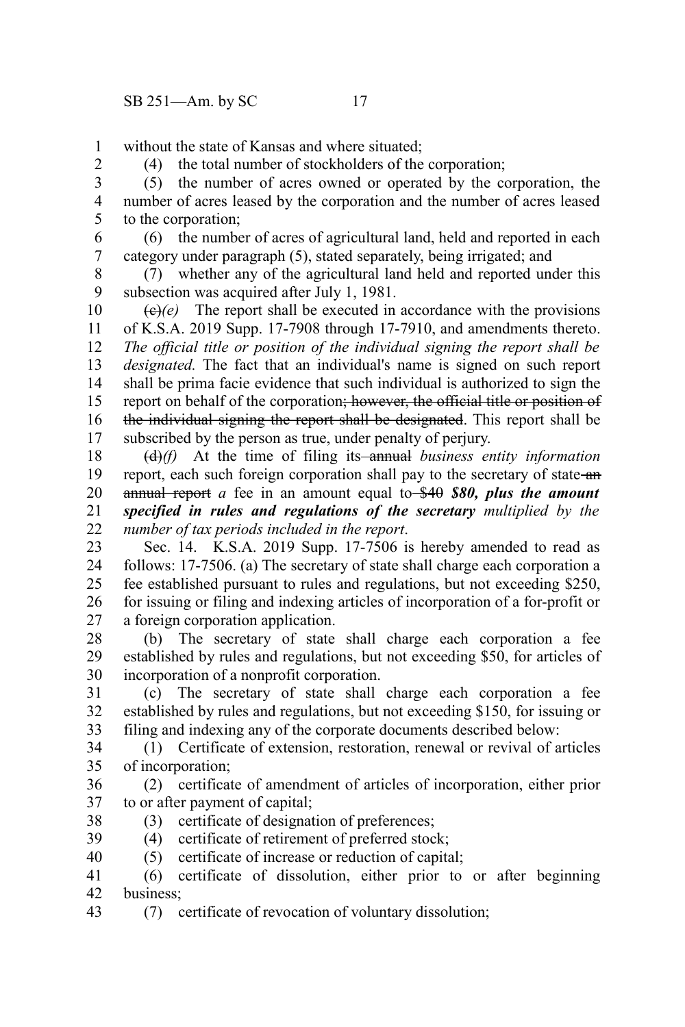without the state of Kansas and where situated; 1

2

(4) the total number of stockholders of the corporation;

(5) the number of acres owned or operated by the corporation, the number of acres leased by the corporation and the number of acres leased to the corporation; 3 4 5

(6) the number of acres of agricultural land, held and reported in each category under paragraph (5), stated separately, being irrigated; and 6 7

(7) whether any of the agricultural land held and reported under this subsection was acquired after July 1, 1981. 8 9

 $\left(\frac{e}{e}\right)$  The report shall be executed in accordance with the provisions of K.S.A. 2019 Supp. 17-7908 through 17-7910, and amendments thereto. *The official title or position of the individual signing the report shall be designated.* The fact that an individual's name is signed on such report shall be prima facie evidence that such individual is authorized to sign the report on behalf of the corporation; however, the official title or position of the individual signing the report shall be designated. This report shall be subscribed by the person as true, under penalty of perjury. 10 11 12 13 14 15 16 17

(d)*(f)* At the time of filing its annual *business entity information* report, each such foreign corporation shall pay to the secretary of state-an annual report *a* fee in an amount equal to \$40 *\$80, plus the amount specified in rules and regulations of the secretary multiplied by the number of tax periods included in the report*. 18 19 20 21 22

Sec. 14. K.S.A. 2019 Supp. 17-7506 is hereby amended to read as follows: 17-7506. (a) The secretary of state shall charge each corporation a fee established pursuant to rules and regulations, but not exceeding \$250, for issuing or filing and indexing articles of incorporation of a for-profit or a foreign corporation application. 23 24 25 26 27

(b) The secretary of state shall charge each corporation a fee established by rules and regulations, but not exceeding \$50, for articles of incorporation of a nonprofit corporation. 28 29 30

(c) The secretary of state shall charge each corporation a fee established by rules and regulations, but not exceeding \$150, for issuing or filing and indexing any of the corporate documents described below: 31 32 33

(1) Certificate of extension, restoration, renewal or revival of articles of incorporation; 34 35

(2) certificate of amendment of articles of incorporation, either prior to or after payment of capital; 36 37

- (3) certificate of designation of preferences; 38
- (4) certificate of retirement of preferred stock; 39
- (5) certificate of increase or reduction of capital; 40

(6) certificate of dissolution, either prior to or after beginning business; 41 42

(7) certificate of revocation of voluntary dissolution; 43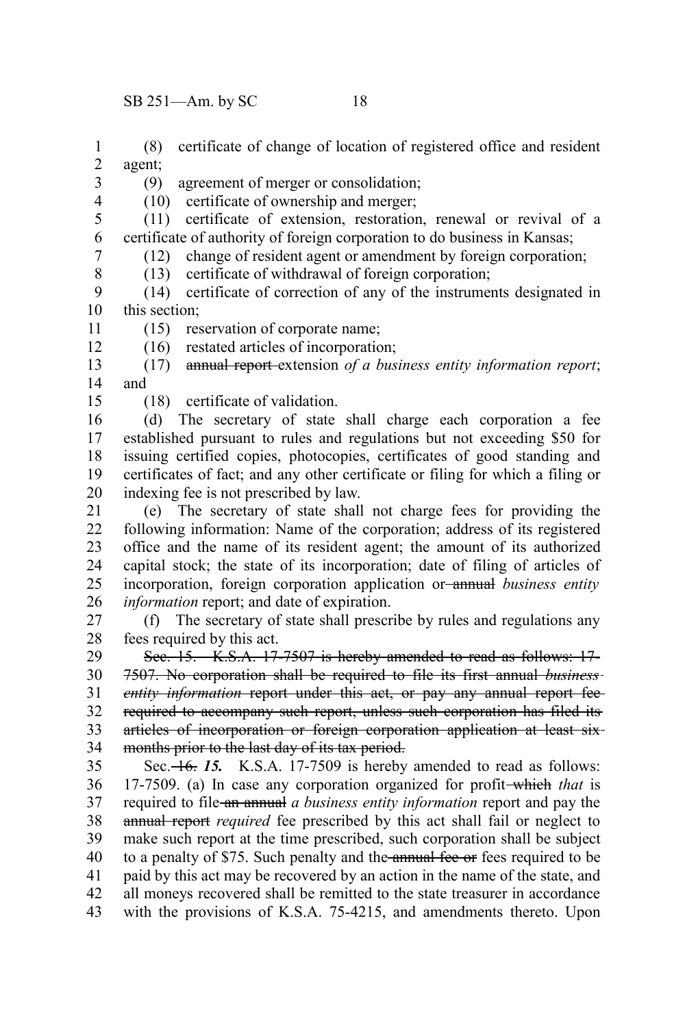(8) certificate of change of location of registered office and resident agent; 1 2

3

(9) agreement of merger or consolidation;

(10) certificate of ownership and merger;

(11) certificate of extension, restoration, renewal or revival of a certificate of authority of foreign corporation to do business in Kansas; (12) change of resident agent or amendment by foreign corporation; 5 6

7 8

12

4

(13) certificate of withdrawal of foreign corporation;

(14) certificate of correction of any of the instruments designated in this section; 9 10

(15) reservation of corporate name; 11

(16) restated articles of incorporation;

(17) annual report extension *of a business entity information report*; and 13 14

15

(18) certificate of validation.

(d) The secretary of state shall charge each corporation a fee established pursuant to rules and regulations but not exceeding \$50 for issuing certified copies, photocopies, certificates of good standing and certificates of fact; and any other certificate or filing for which a filing or indexing fee is not prescribed by law. 16 17 18 19 20

(e) The secretary of state shall not charge fees for providing the following information: Name of the corporation; address of its registered office and the name of its resident agent; the amount of its authorized capital stock; the state of its incorporation; date of filing of articles of incorporation, foreign corporation application or annual *business entity information* report; and date of expiration. 21 22 23 24 25 26

(f) The secretary of state shall prescribe by rules and regulations any fees required by this act. 27 28

See. 15. K.S.A. 17-7507 is hereby amended to read as follows: 17-7507. No corporation shall be required to file its first annual *business entity information* report under this act, or pay any annual report fee required to accompany such report, unless such corporation has filed its articles of incorporation or foreign corporation application at least six months prior to the last day of its tax period. 29 30 31 32 33 34

Sec.  $\overline{+6}$ . 15. K.S.A. 17-7509 is hereby amended to read as follows: 17-7509. (a) In case any corporation organized for profit which *that* is required to file an annual *a business entity information* report and pay the annual report *required* fee prescribed by this act shall fail or neglect to make such report at the time prescribed, such corporation shall be subject to a penalty of \$75. Such penalty and the annual fee or fees required to be paid by this act may be recovered by an action in the name of the state, and all moneys recovered shall be remitted to the state treasurer in accordance with the provisions of K.S.A. 75-4215, and amendments thereto. Upon 35 36 37 38 39 40 41 42 43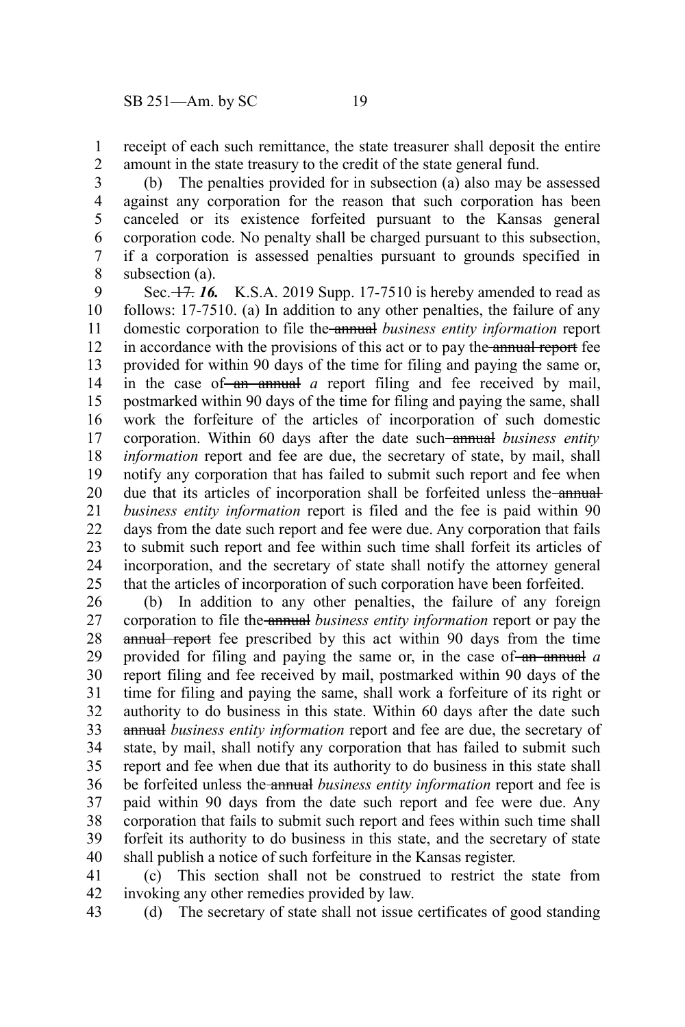receipt of each such remittance, the state treasurer shall deposit the entire amount in the state treasury to the credit of the state general fund. 1 2

(b) The penalties provided for in subsection (a) also may be assessed against any corporation for the reason that such corporation has been canceled or its existence forfeited pursuant to the Kansas general corporation code. No penalty shall be charged pursuant to this subsection, if a corporation is assessed penalties pursuant to grounds specified in subsection (a). 3 4 5 6 7 8

Sec. 17. *16.* K.S.A. 2019 Supp. 17-7510 is hereby amended to read as follows: 17-7510. (a) In addition to any other penalties, the failure of any domestic corporation to file the annual *business entity information* report in accordance with the provisions of this act or to pay the annual report fee provided for within 90 days of the time for filing and paying the same or, in the case of an annual *a* report filing and fee received by mail, postmarked within 90 days of the time for filing and paying the same, shall work the forfeiture of the articles of incorporation of such domestic corporation. Within 60 days after the date such annual *business entity information* report and fee are due, the secretary of state, by mail, shall notify any corporation that has failed to submit such report and fee when due that its articles of incorporation shall be forfeited unless the annual *business entity information* report is filed and the fee is paid within 90 days from the date such report and fee were due. Any corporation that fails to submit such report and fee within such time shall forfeit its articles of incorporation, and the secretary of state shall notify the attorney general that the articles of incorporation of such corporation have been forfeited. 9 10 11 12 13 14 15 16 17 18 19 20 21 22 23 24 25

(b) In addition to any other penalties, the failure of any foreign corporation to file the annual *business entity information* report or pay the annual report fee prescribed by this act within 90 days from the time provided for filing and paying the same or, in the case of an annual *a* report filing and fee received by mail, postmarked within 90 days of the time for filing and paying the same, shall work a forfeiture of its right or authority to do business in this state. Within 60 days after the date such annual *business entity information* report and fee are due, the secretary of state, by mail, shall notify any corporation that has failed to submit such report and fee when due that its authority to do business in this state shall be forfeited unless the annual *business entity information* report and fee is paid within 90 days from the date such report and fee were due. Any corporation that fails to submit such report and fees within such time shall forfeit its authority to do business in this state, and the secretary of state shall publish a notice of such forfeiture in the Kansas register. 26 27 28 29 30 31 32 33 34 35 36 37 38 39 40

(c) This section shall not be construed to restrict the state from invoking any other remedies provided by law. 41 42

(d) The secretary of state shall not issue certificates of good standing 43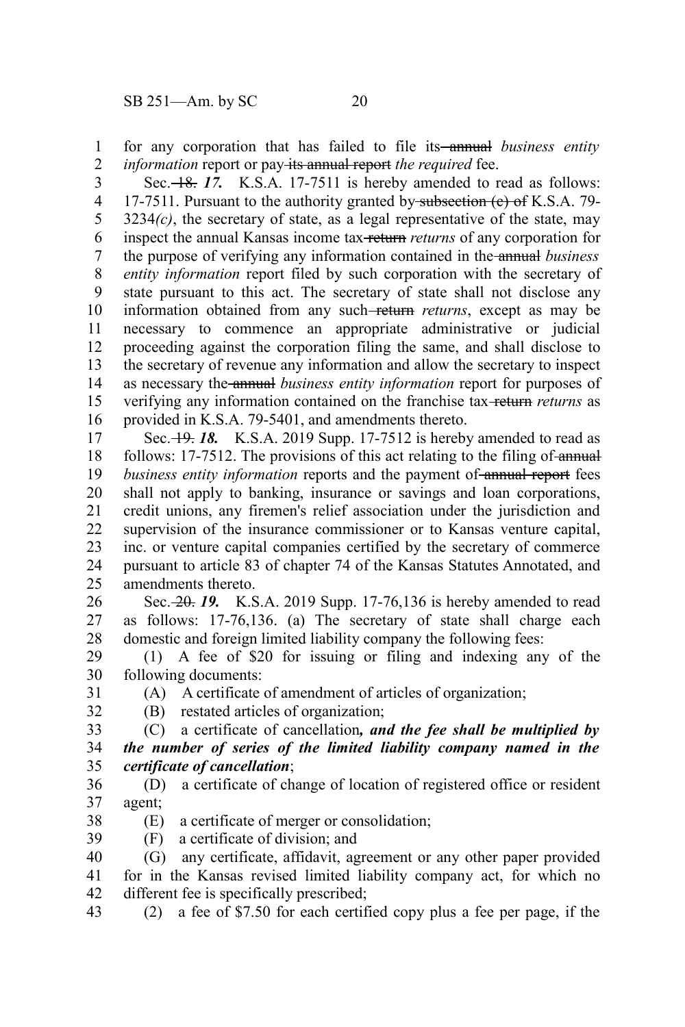for any corporation that has failed to file its<del> annual</del> business entity *information* report or pay its annual report *the required* fee. 1 2

Sec.  $\frac{18}{17}$ . K.S.A. 17-7511 is hereby amended to read as follows: 17-7511. Pursuant to the authority granted by subsection (e) of K.S.A. 79- $3234(c)$ , the secretary of state, as a legal representative of the state, may inspect the annual Kansas income tax return *returns* of any corporation for the purpose of verifying any information contained in the annual *business entity information* report filed by such corporation with the secretary of state pursuant to this act. The secretary of state shall not disclose any information obtained from any such-return returns, except as may be necessary to commence an appropriate administrative or judicial proceeding against the corporation filing the same, and shall disclose to the secretary of revenue any information and allow the secretary to inspect as necessary the annual *business entity information* report for purposes of verifying any information contained on the franchise tax return *returns* as provided in K.S.A. 79-5401, and amendments thereto. 3 4 5 6 7 8 9 10 11 12 13 14 15 16

Sec.  $\frac{19}{18}$ . K.S.A. 2019 Supp. 17-7512 is hereby amended to read as follows: 17-7512. The provisions of this act relating to the filing of annual *business entity information* reports and the payment of annual report fees shall not apply to banking, insurance or savings and loan corporations, credit unions, any firemen's relief association under the jurisdiction and supervision of the insurance commissioner or to Kansas venture capital, inc. or venture capital companies certified by the secretary of commerce pursuant to article 83 of chapter 74 of the Kansas Statutes Annotated, and amendments thereto. 17 18 19 20 21 22 23 24 25

Sec. 20. *19.* K.S.A. 2019 Supp. 17-76,136 is hereby amended to read as follows: 17-76,136. (a) The secretary of state shall charge each domestic and foreign limited liability company the following fees: 26 27 28

(1) A fee of \$20 for issuing or filing and indexing any of the following documents: 29 30

31 32 (A) A certificate of amendment of articles of organization; (B) restated articles of organization;

(C) a certificate of cancellation*, and the fee shall be multiplied by*

*the number of series of the limited liability company named in the certificate of cancellation*; 33 34 35

- (D) a certificate of change of location of registered office or resident agent; 36 37
- (E) a certificate of merger or consolidation; 38
- (F) a certificate of division; and 39

(G) any certificate, affidavit, agreement or any other paper provided for in the Kansas revised limited liability company act, for which no different fee is specifically prescribed; 40 41 42

(2) a fee of \$7.50 for each certified copy plus a fee per page, if the 43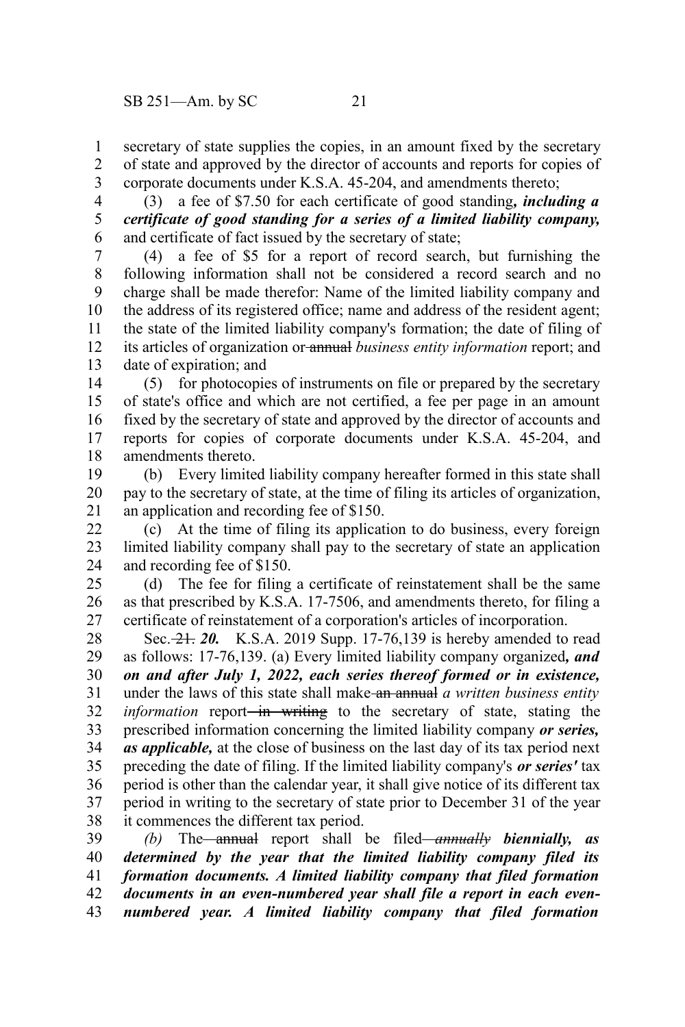secretary of state supplies the copies, in an amount fixed by the secretary of state and approved by the director of accounts and reports for copies of corporate documents under K.S.A. 45-204, and amendments thereto; 1 2 3

(3) a fee of \$7.50 for each certificate of good standing*, including a certificate of good standing for a series of a limited liability company,* and certificate of fact issued by the secretary of state; 4 5 6

(4) a fee of \$5 for a report of record search, but furnishing the following information shall not be considered a record search and no charge shall be made therefor: Name of the limited liability company and the address of its registered office; name and address of the resident agent; the state of the limited liability company's formation; the date of filing of its articles of organization or annual *business entity information* report; and date of expiration; and 7 8 9 10 11 12 13

(5) for photocopies of instruments on file or prepared by the secretary of state's office and which are not certified, a fee per page in an amount fixed by the secretary of state and approved by the director of accounts and reports for copies of corporate documents under K.S.A. 45-204, and amendments thereto. 14 15 16 17 18

(b) Every limited liability company hereafter formed in this state shall pay to the secretary of state, at the time of filing its articles of organization, an application and recording fee of \$150. 19 20 21

(c) At the time of filing its application to do business, every foreign limited liability company shall pay to the secretary of state an application and recording fee of \$150. 22 23 24

(d) The fee for filing a certificate of reinstatement shall be the same as that prescribed by K.S.A. 17-7506, and amendments thereto, for filing a certificate of reinstatement of a corporation's articles of incorporation. 25 26 27

Sec. 21. *20.* K.S.A. 2019 Supp. 17-76,139 is hereby amended to read as follows: 17-76,139. (a) Every limited liability company organized*, and on and after July 1, 2022, each series thereof formed or in existence,* under the laws of this state shall make an annual *a written business entity information* report<del> in writing</del> to the secretary of state, stating the prescribed information concerning the limited liability company *or series, as applicable,* at the close of business on the last day of its tax period next preceding the date of filing. If the limited liability company's *or series'* tax period is other than the calendar year, it shall give notice of its different tax period in writing to the secretary of state prior to December 31 of the year it commences the different tax period. 28 29 30 31 32 33 34 35 36 37 38

*(b)* The annual report shall be filed *annually biennially, as determined by the year that the limited liability company filed its formation documents. A limited liability company that filed formation documents in an even-numbered year shall file a report in each evennumbered year. A limited liability company that filed formation* 39 40 41 42 43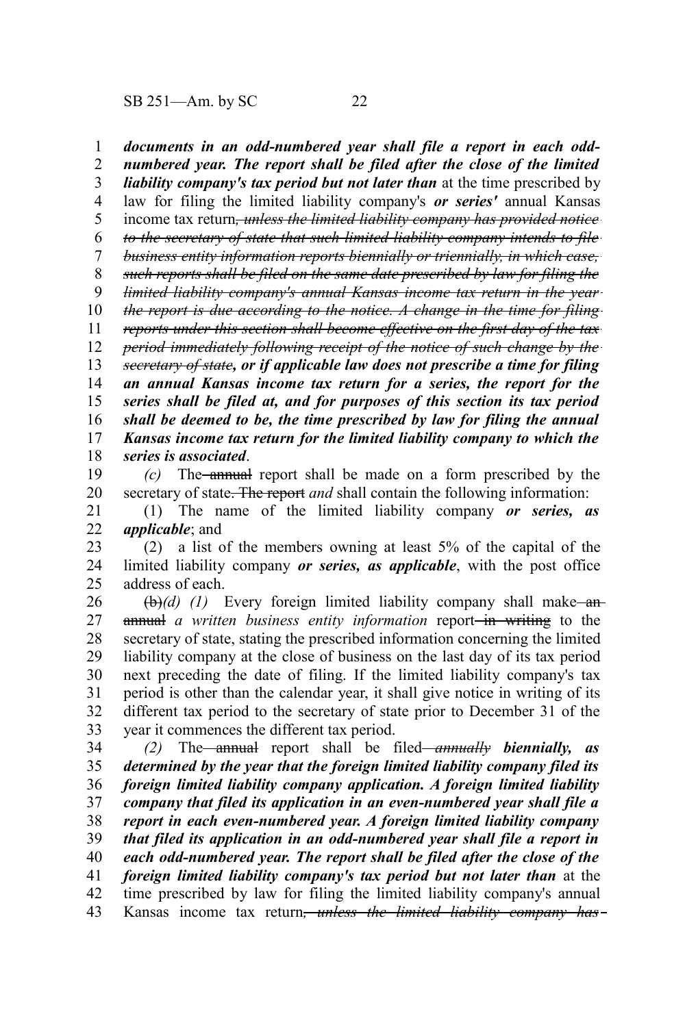*documents in an odd-numbered year shall file a report in each oddnumbered year. The report shall be filed after the close of the limited liability company's tax period but not later than* at the time prescribed by law for filing the limited liability company's *or series'* annual Kansas income tax return*, unless the limited liability company has provided notice to the secretary of state that such limited liability company intends to file business entity information reports biennially or triennially, in which case, such reports shall be filed on the same date prescribed by law for filing the limited liability company's annual Kansas income tax return in the year the report is due according to the notice. A change in the time for filing reports under this section shall become effective on the first day of the tax period immediately following receipt of the notice of such change by the secretary of state, or if applicable law does not prescribe a time for filing an annual Kansas income tax return for a series, the report for the series shall be filed at, and for purposes of this section its tax period shall be deemed to be, the time prescribed by law for filing the annual Kansas income tax return for the limited liability company to which the series is associated*. *(c)* The annual report shall be made on a form prescribed by the secretary of state. The report *and* shall contain the following information: (1) The name of the limited liability company *or series, as applicable*; and (2) a list of the members owning at least 5% of the capital of the limited liability company *or series, as applicable*, with the post office address of each. (b)(d) (1) Every foreign limited liability company shall make anannual *a written business entity information* report—in writing to the secretary of state, stating the prescribed information concerning the limited liability company at the close of business on the last day of its tax period next preceding the date of filing. If the limited liability company's tax 1 2 3 4 5 6 7 8 9 10 11 12 13 14 15 16 17 18 19 20 21 22 23 24 25 26 27 28 29 30

period is other than the calendar year, it shall give notice in writing of its different tax period to the secretary of state prior to December 31 of the year it commences the different tax period. 31 32 33

*(2)* The annual report shall be filed *annually biennially, as determined by the year that the foreign limited liability company filed its foreign limited liability company application. A foreign limited liability company that filed its application in an even-numbered year shall file a report in each even-numbered year. A foreign limited liability company that filed its application in an odd-numbered year shall file a report in each odd-numbered year. The report shall be filed after the close of the foreign limited liability company's tax period but not later than* at the time prescribed by law for filing the limited liability company's annual Kansas income tax return*, unless the limited liability company has* 34 35 36 37 38 39 40 41 42 43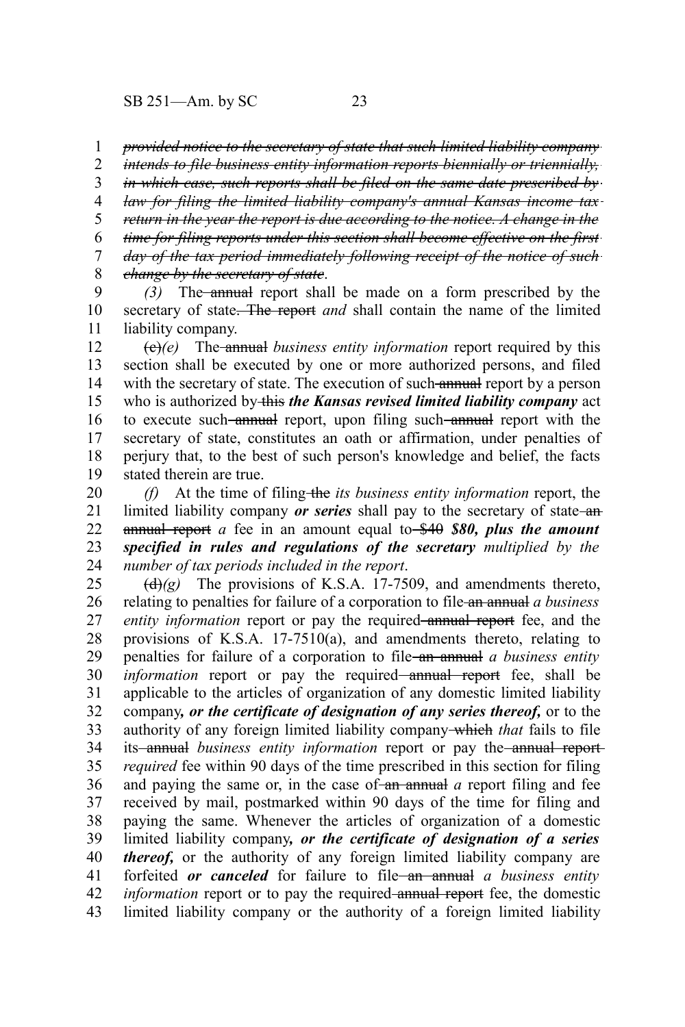*provided notice to the secretary of state that such limited liability company* 1

*intends to file business entity information reports biennially or triennially,* 2

*in which case, such reports shall be filed on the same date prescribed by* 3

*law for filing the limited liability company's annual Kansas income tax* 4

*return in the year the report is due according to the notice. A change in the* 5

*time for filing reports under this section shall become effective on the first* 6 7

*day of the tax period immediately following receipt of the notice of such change by the secretary of state*. 8

*(3)* The annual report shall be made on a form prescribed by the secretary of state. The report *and* shall contain the name of the limited liability company. 9 10 11

(c)*(e)* The annual *business entity information* report required by this section shall be executed by one or more authorized persons, and filed with the secretary of state. The execution of such annual report by a person who is authorized by this *the Kansas revised limited liability company* act to execute such-annual report, upon filing such-annual report with the secretary of state, constitutes an oath or affirmation, under penalties of perjury that, to the best of such person's knowledge and belief, the facts stated therein are true. 12 13 14 15 16 17 18 19

*(f)* At the time of filing-the *its business entity information* report, the limited liability company *or series* shall pay to the secretary of state-anannual report *a* fee in an amount equal to \$40 *\$80, plus the amount specified in rules and regulations of the secretary multiplied by the number of tax periods included in the report*. 20 21 22 23 24

 $\left(\frac{d}{dx}\right)(g)$  The provisions of K.S.A. 17-7509, and amendments thereto, relating to penalties for failure of a corporation to file an annual *a business entity information* report or pay the required annual report fee, and the provisions of K.S.A. 17-7510(a), and amendments thereto, relating to penalties for failure of a corporation to file an annual *a business entity information* report or pay the required—annual report fee, shall be applicable to the articles of organization of any domestic limited liability company*, or the certificate of designation of any series thereof,* or to the authority of any foreign limited liability company which *that* fails to file its-annual *business entity information* report or pay the-annual report*required* fee within 90 days of the time prescribed in this section for filing and paying the same or, in the case of  $\frac{1}{2}$  and a report filing and fee received by mail, postmarked within 90 days of the time for filing and paying the same. Whenever the articles of organization of a domestic limited liability company*, or the certificate of designation of a series thereof,* or the authority of any foreign limited liability company are forfeited *or canceled* for failure to file an annual *a business entity information* report or to pay the required-annual report fee, the domestic limited liability company or the authority of a foreign limited liability 25 26 27 28 29 30 31 32 33 34 35 36 37 38 39 40 41 42 43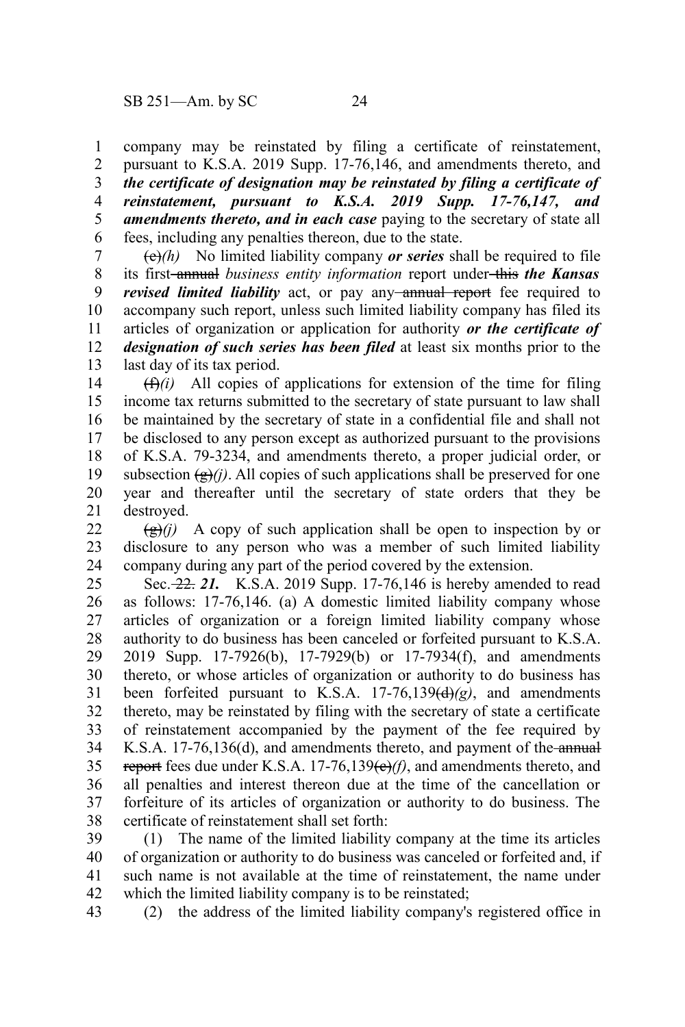company may be reinstated by filing a certificate of reinstatement, pursuant to K.S.A. 2019 Supp. 17-76,146, and amendments thereto, and *the certificate of designation may be reinstated by filing a certificate of reinstatement, pursuant to K.S.A. 2019 Supp. 17-76,147, and amendments thereto, and in each case* paying to the secretary of state all fees, including any penalties thereon, due to the state. 1 2 3 4 5 6

(e)*(h)* No limited liability company *or series* shall be required to file its first annual *business entity information* report under this *the Kansas revised limited liability* act, or pay any-annual report fee required to accompany such report, unless such limited liability company has filed its articles of organization or application for authority *or the certificate of designation of such series has been filed* at least six months prior to the last day of its tax period. 7 8 9 10 11 12 13

 $(f(x))$  All copies of applications for extension of the time for filing income tax returns submitted to the secretary of state pursuant to law shall be maintained by the secretary of state in a confidential file and shall not be disclosed to any person except as authorized pursuant to the provisions of K.S.A. 79-3234, and amendments thereto, a proper judicial order, or subsection  $(\frac{e}{g})$ *(i)*. All copies of such applications shall be preserved for one year and thereafter until the secretary of state orders that they be destroyed. 14 15 16 17 18 19 20 21

 $\left(\frac{g}{g}\right)$  A copy of such application shall be open to inspection by or disclosure to any person who was a member of such limited liability company during any part of the period covered by the extension. 22 23 24

Sec. 22. *21.* K.S.A. 2019 Supp. 17-76,146 is hereby amended to read as follows: 17-76,146. (a) A domestic limited liability company whose articles of organization or a foreign limited liability company whose authority to do business has been canceled or forfeited pursuant to K.S.A. 2019 Supp. 17-7926(b), 17-7929(b) or 17-7934(f), and amendments thereto, or whose articles of organization or authority to do business has been forfeited pursuant to K.S.A. 17-76,139(d)*(g)*, and amendments thereto, may be reinstated by filing with the secretary of state a certificate of reinstatement accompanied by the payment of the fee required by K.S.A. 17-76,136(d), and amendments thereto, and payment of the annual report fees due under K.S.A.  $17-76,139(e)/f$ , and amendments thereto, and all penalties and interest thereon due at the time of the cancellation or forfeiture of its articles of organization or authority to do business. The certificate of reinstatement shall set forth: 25 26 27 28 29 30 31 32 33 34 35 36 37 38

(1) The name of the limited liability company at the time its articles of organization or authority to do business was canceled or forfeited and, if such name is not available at the time of reinstatement, the name under which the limited liability company is to be reinstated; 39 40 41 42

(2) the address of the limited liability company's registered office in 43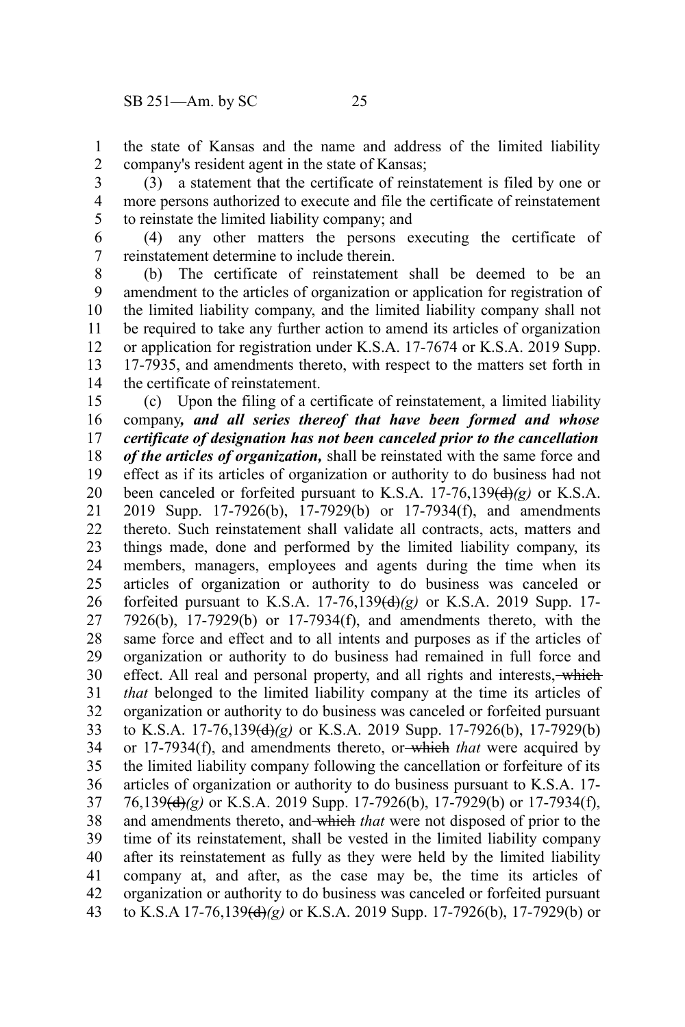the state of Kansas and the name and address of the limited liability company's resident agent in the state of Kansas; 1 2

(3) a statement that the certificate of reinstatement is filed by one or more persons authorized to execute and file the certificate of reinstatement to reinstate the limited liability company; and 3 4 5

(4) any other matters the persons executing the certificate of reinstatement determine to include therein. 6 7

(b) The certificate of reinstatement shall be deemed to be an amendment to the articles of organization or application for registration of the limited liability company, and the limited liability company shall not be required to take any further action to amend its articles of organization or application for registration under K.S.A. 17-7674 or K.S.A. 2019 Supp. 17-7935, and amendments thereto, with respect to the matters set forth in the certificate of reinstatement. 8 9 10 11 12 13 14

(c) Upon the filing of a certificate of reinstatement, a limited liability company*, and all series thereof that have been formed and whose certificate of designation has not been canceled prior to the cancellation of the articles of organization,* shall be reinstated with the same force and effect as if its articles of organization or authority to do business had not been canceled or forfeited pursuant to K.S.A.  $17-76,139\text{(d)}\text{(g)}$  or K.S.A. 2019 Supp. 17-7926(b), 17-7929(b) or 17-7934(f), and amendments thereto. Such reinstatement shall validate all contracts, acts, matters and things made, done and performed by the limited liability company, its members, managers, employees and agents during the time when its articles of organization or authority to do business was canceled or forfeited pursuant to K.S.A. 17-76,139(d)*(g)* or K.S.A. 2019 Supp. 17- 7926(b), 17-7929(b) or 17-7934(f), and amendments thereto, with the same force and effect and to all intents and purposes as if the articles of organization or authority to do business had remained in full force and effect. All real and personal property, and all rights and interests, which *that* belonged to the limited liability company at the time its articles of organization or authority to do business was canceled or forfeited pursuant to K.S.A. 17-76,139(d)*(g)* or K.S.A. 2019 Supp. 17-7926(b), 17-7929(b) or 17-7934(f), and amendments thereto, or which *that* were acquired by the limited liability company following the cancellation or forfeiture of its articles of organization or authority to do business pursuant to K.S.A. 17- 76,139(d)*(g)* or K.S.A. 2019 Supp. 17-7926(b), 17-7929(b) or 17-7934(f), and amendments thereto, and which *that* were not disposed of prior to the time of its reinstatement, shall be vested in the limited liability company after its reinstatement as fully as they were held by the limited liability company at, and after, as the case may be, the time its articles of organization or authority to do business was canceled or forfeited pursuant to K.S.A 17-76,139(d)*(g)* or K.S.A. 2019 Supp. 17-7926(b), 17-7929(b) or 15 16 17 18 19 20 21 22 23 24 25 26 27 28 29 30 31 32 33 34 35 36 37 38 39 40 41 42 43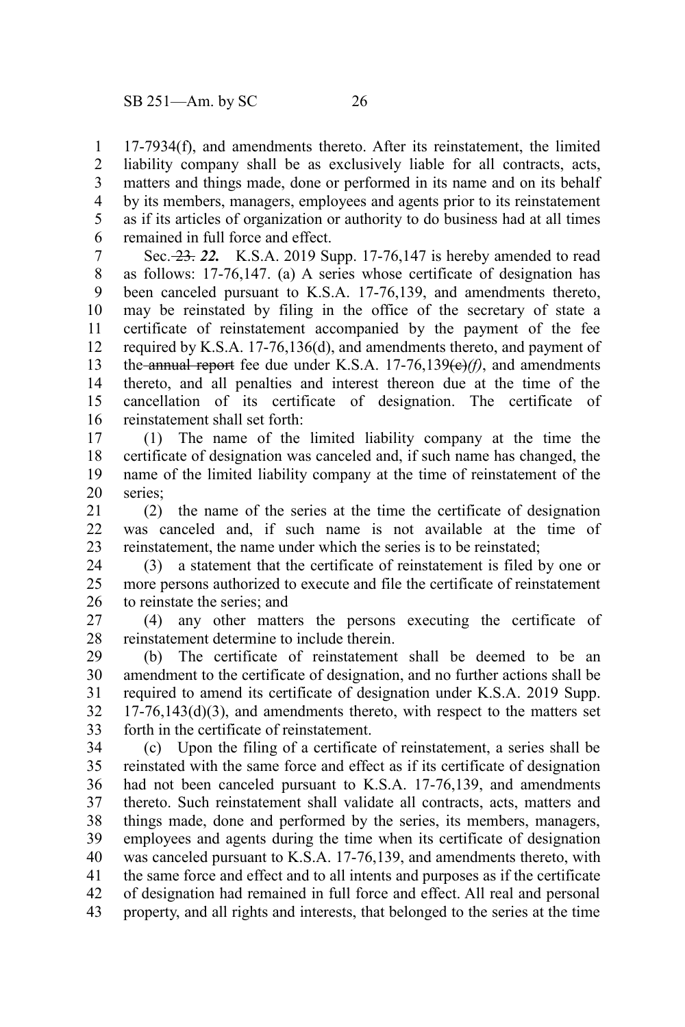17-7934(f), and amendments thereto. After its reinstatement, the limited liability company shall be as exclusively liable for all contracts, acts, matters and things made, done or performed in its name and on its behalf by its members, managers, employees and agents prior to its reinstatement as if its articles of organization or authority to do business had at all times remained in full force and effect. 1 2 3 4 5 6

Sec. 23. *22.* K.S.A. 2019 Supp. 17-76,147 is hereby amended to read as follows: 17-76,147. (a) A series whose certificate of designation has been canceled pursuant to K.S.A. 17-76,139, and amendments thereto, may be reinstated by filing in the office of the secretary of state a certificate of reinstatement accompanied by the payment of the fee required by K.S.A. 17-76,136(d), and amendments thereto, and payment of the annual report fee due under K.S.A.  $17-76,139\left(\frac{e}{f}\right)$ , and amendments thereto, and all penalties and interest thereon due at the time of the cancellation of its certificate of designation. The certificate of reinstatement shall set forth: 7 8 9 10 11 12 13 14 15 16

(1) The name of the limited liability company at the time the certificate of designation was canceled and, if such name has changed, the name of the limited liability company at the time of reinstatement of the series; 17 18 19 20

(2) the name of the series at the time the certificate of designation was canceled and, if such name is not available at the time of reinstatement, the name under which the series is to be reinstated; 21 22 23

(3) a statement that the certificate of reinstatement is filed by one or more persons authorized to execute and file the certificate of reinstatement to reinstate the series; and 24 25 26

(4) any other matters the persons executing the certificate of reinstatement determine to include therein. 27 28

(b) The certificate of reinstatement shall be deemed to be an amendment to the certificate of designation, and no further actions shall be required to amend its certificate of designation under K.S.A. 2019 Supp.  $17-76,143(d)(3)$ , and amendments thereto, with respect to the matters set forth in the certificate of reinstatement. 29 30 31 32 33

(c) Upon the filing of a certificate of reinstatement, a series shall be reinstated with the same force and effect as if its certificate of designation had not been canceled pursuant to K.S.A. 17-76,139, and amendments thereto. Such reinstatement shall validate all contracts, acts, matters and things made, done and performed by the series, its members, managers, employees and agents during the time when its certificate of designation was canceled pursuant to K.S.A. 17-76,139, and amendments thereto, with the same force and effect and to all intents and purposes as if the certificate of designation had remained in full force and effect. All real and personal property, and all rights and interests, that belonged to the series at the time 34 35 36 37 38 39 40 41 42 43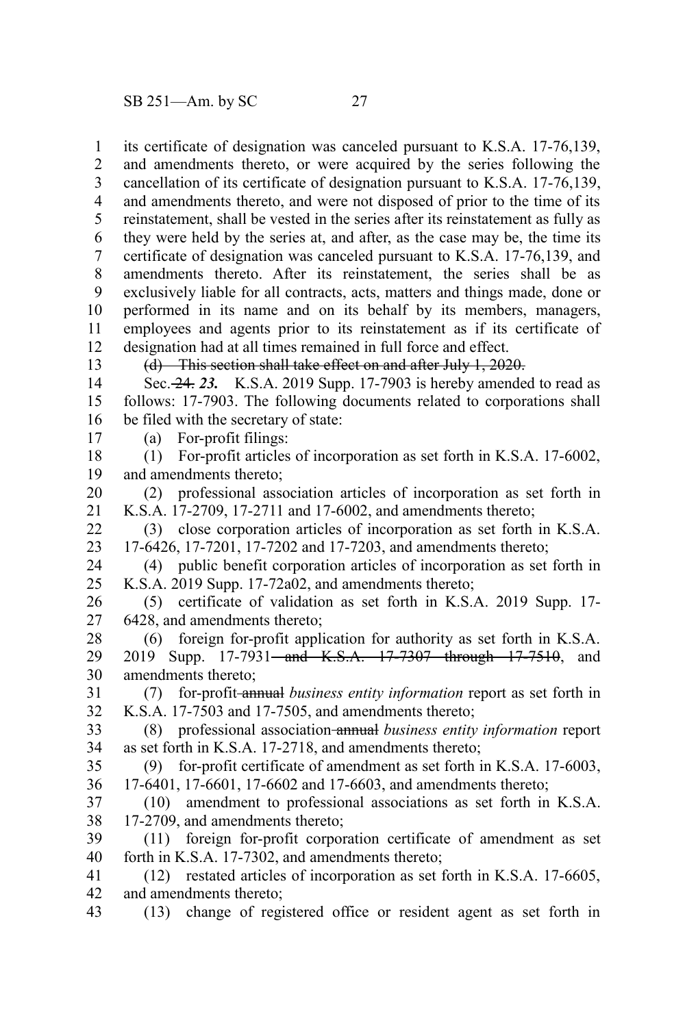its certificate of designation was canceled pursuant to K.S.A. 17-76,139, and amendments thereto, or were acquired by the series following the cancellation of its certificate of designation pursuant to K.S.A. 17-76,139, and amendments thereto, and were not disposed of prior to the time of its reinstatement, shall be vested in the series after its reinstatement as fully as they were held by the series at, and after, as the case may be, the time its certificate of designation was canceled pursuant to K.S.A. 17-76,139, and amendments thereto. After its reinstatement, the series shall be as exclusively liable for all contracts, acts, matters and things made, done or performed in its name and on its behalf by its members, managers, employees and agents prior to its reinstatement as if its certificate of designation had at all times remained in full force and effect. 1 2 3 4 5 6 7 8 9 10 11 12

13

## (d) This section shall take effect on and after July 1, 2020.

Sec. 24. *23.* K.S.A. 2019 Supp. 17-7903 is hereby amended to read as follows: 17-7903. The following documents related to corporations shall be filed with the secretary of state: 14 15 16

- (a) For-profit filings: 17
- (1) For-profit articles of incorporation as set forth in K.S.A. 17-6002, and amendments thereto; 18 19
- (2) professional association articles of incorporation as set forth in K.S.A. 17-2709, 17-2711 and 17-6002, and amendments thereto; 20 21
- (3) close corporation articles of incorporation as set forth in K.S.A. 17-6426, 17-7201, 17-7202 and 17-7203, and amendments thereto; 22 23
- (4) public benefit corporation articles of incorporation as set forth in K.S.A. 2019 Supp. 17-72a02, and amendments thereto; 24 25
- (5) certificate of validation as set forth in K.S.A. 2019 Supp. 17- 6428, and amendments thereto; 26 27
- (6) foreign for-profit application for authority as set forth in K.S.A. 2019 Supp. 17-7931—and K.S.A. 17-7307 through 17-7510, and amendments thereto; 28 29 30
- (7) for-profit annual *business entity information* report as set forth in K.S.A. 17-7503 and 17-7505, and amendments thereto; 31 32
- (8) professional association annual *business entity information* report as set forth in K.S.A. 17-2718, and amendments thereto; 33 34
- (9) for-profit certificate of amendment as set forth in K.S.A. 17-6003, 35 36
- 17-6401, 17-6601, 17-6602 and 17-6603, and amendments thereto;
- (10) amendment to professional associations as set forth in K.S.A. 17-2709, and amendments thereto; 37 38
- (11) foreign for-profit corporation certificate of amendment as set forth in K.S.A. 17-7302, and amendments thereto; 39 40
- (12) restated articles of incorporation as set forth in K.S.A. 17-6605, and amendments thereto; 41 42
- (13) change of registered office or resident agent as set forth in 43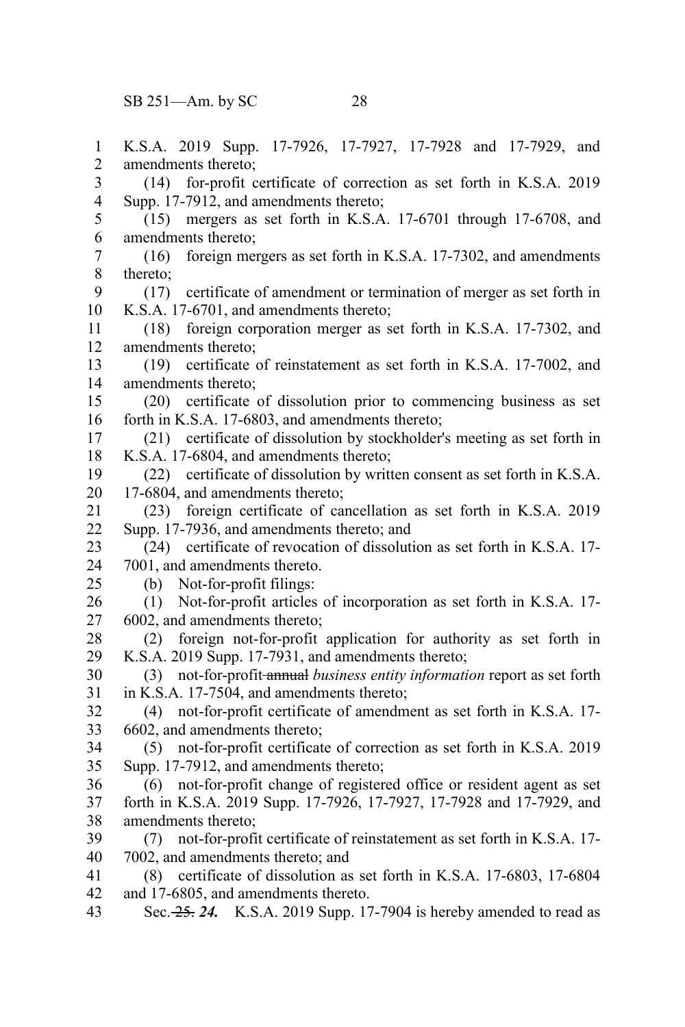SB 251—Am. by SC 28

K.S.A. 2019 Supp. 17-7926, 17-7927, 17-7928 and 17-7929, and amendments thereto; (14) for-profit certificate of correction as set forth in K.S.A. 2019 Supp. 17-7912, and amendments thereto; (15) mergers as set forth in K.S.A. 17-6701 through 17-6708, and amendments thereto; (16) foreign mergers as set forth in K.S.A. 17-7302, and amendments thereto; (17) certificate of amendment or termination of merger as set forth in K.S.A. 17-6701, and amendments thereto; (18) foreign corporation merger as set forth in K.S.A. 17-7302, and amendments thereto; (19) certificate of reinstatement as set forth in K.S.A. 17-7002, and amendments thereto; (20) certificate of dissolution prior to commencing business as set forth in K.S.A. 17-6803, and amendments thereto; (21) certificate of dissolution by stockholder's meeting as set forth in K.S.A. 17-6804, and amendments thereto; (22) certificate of dissolution by written consent as set forth in K.S.A. 17-6804, and amendments thereto; (23) foreign certificate of cancellation as set forth in K.S.A. 2019 Supp. 17-7936, and amendments thereto; and (24) certificate of revocation of dissolution as set forth in K.S.A. 17- 7001, and amendments thereto. (b) Not-for-profit filings: (1) Not-for-profit articles of incorporation as set forth in K.S.A. 17- 6002, and amendments thereto; (2) foreign not-for-profit application for authority as set forth in K.S.A. 2019 Supp. 17-7931, and amendments thereto; (3) not-for-profit annual *business entity information* report as set forth in K.S.A. 17-7504, and amendments thereto; (4) not-for-profit certificate of amendment as set forth in K.S.A. 17- 6602, and amendments thereto; (5) not-for-profit certificate of correction as set forth in K.S.A. 2019 Supp. 17-7912, and amendments thereto; (6) not-for-profit change of registered office or resident agent as set forth in K.S.A. 2019 Supp. 17-7926, 17-7927, 17-7928 and 17-7929, and amendments thereto; (7) not-for-profit certificate of reinstatement as set forth in K.S.A. 17- 7002, and amendments thereto; and (8) certificate of dissolution as set forth in K.S.A. 17-6803, 17-6804 and 17-6805, and amendments thereto. 1 2 3 4 5 6 7 8 9 10 11 12 13 14 15 16 17 18 19 20 21 22 23 24 25 26 27 28 29 30 31 32 33 34 35 36 37 38 39 40 41 42

Sec. 25. *24.* K.S.A. 2019 Supp. 17-7904 is hereby amended to read as 43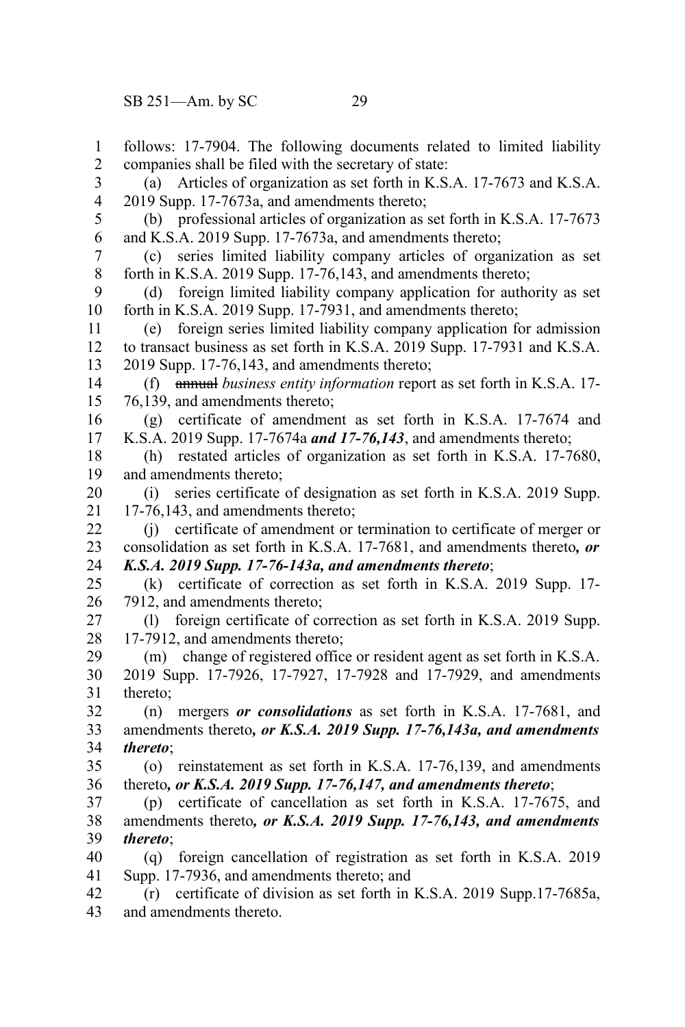follows: 17-7904. The following documents related to limited liability companies shall be filed with the secretary of state: (a) Articles of organization as set forth in K.S.A. 17-7673 and K.S.A. 2019 Supp. 17-7673a, and amendments thereto; (b) professional articles of organization as set forth in K.S.A. 17-7673 and K.S.A. 2019 Supp. 17-7673a, and amendments thereto; (c) series limited liability company articles of organization as set forth in K.S.A. 2019 Supp. 17-76,143, and amendments thereto; (d) foreign limited liability company application for authority as set forth in K.S.A. 2019 Supp. 17-7931, and amendments thereto; (e) foreign series limited liability company application for admission to transact business as set forth in K.S.A. 2019 Supp. 17-7931 and K.S.A. 2019 Supp. 17-76,143, and amendments thereto; (f) annual *business entity information* report as set forth in K.S.A. 17- 76,139, and amendments thereto; (g) certificate of amendment as set forth in K.S.A. 17-7674 and K.S.A. 2019 Supp. 17-7674a *and 17-76,143*, and amendments thereto; (h) restated articles of organization as set forth in K.S.A. 17-7680, and amendments thereto; (i) series certificate of designation as set forth in K.S.A. 2019 Supp. 17-76,143, and amendments thereto; (j) certificate of amendment or termination to certificate of merger or consolidation as set forth in K.S.A. 17-7681, and amendments thereto*, or K.S.A. 2019 Supp. 17-76-143a, and amendments thereto*; (k) certificate of correction as set forth in K.S.A. 2019 Supp. 17- 7912, and amendments thereto; (l) foreign certificate of correction as set forth in K.S.A. 2019 Supp. 17-7912, and amendments thereto; (m) change of registered office or resident agent as set forth in K.S.A. 2019 Supp. 17-7926, 17-7927, 17-7928 and 17-7929, and amendments thereto; (n) mergers *or consolidations* as set forth in K.S.A. 17-7681, and amendments thereto*, or K.S.A. 2019 Supp. 17-76,143a, and amendments thereto*; (o) reinstatement as set forth in K.S.A. 17-76,139, and amendments thereto*, or K.S.A. 2019 Supp. 17-76,147, and amendments thereto*; (p) certificate of cancellation as set forth in K.S.A. 17-7675, and amendments thereto*, or K.S.A. 2019 Supp. 17-76,143, and amendments thereto*; (q) foreign cancellation of registration as set forth in K.S.A. 2019 Supp. 17-7936, and amendments thereto; and (r) certificate of division as set forth in K.S.A. 2019 Supp.17-7685a, and amendments thereto. 1 2 3 4 5 6 7 8 9 10 11 12 13 14 15 16 17 18 19 20 21 22 23 24 25 26 27 28 29 30 31 32 33 34 35 36 37 38 39 40 41 42 43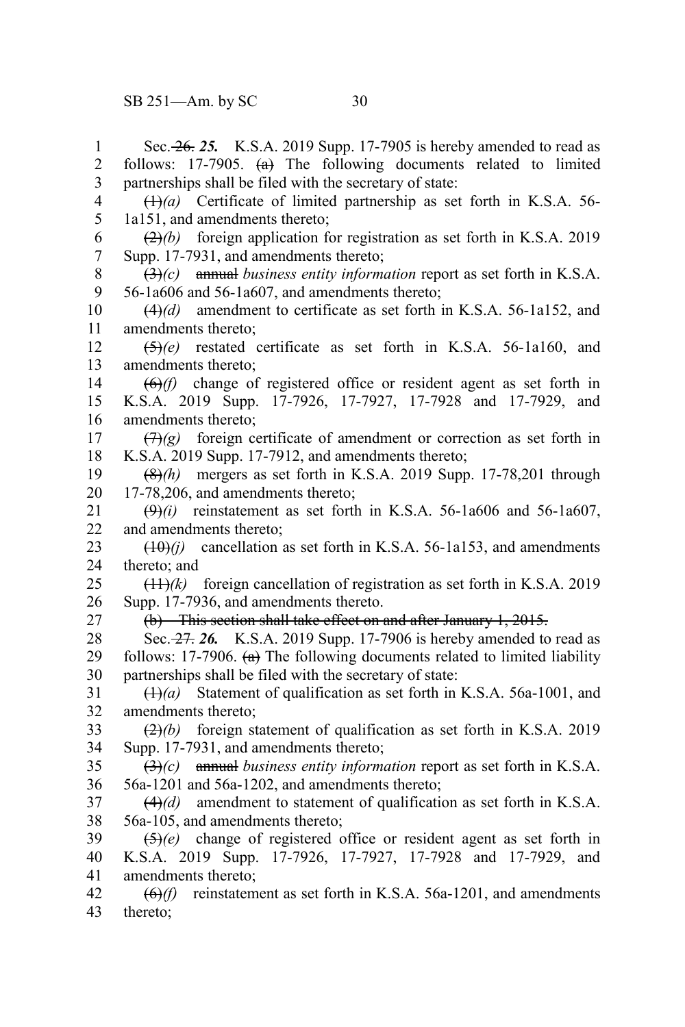Sec. 26. *25.* K.S.A. 2019 Supp. 17-7905 is hereby amended to read as follows: 17-7905.  $(a)$  The following documents related to limited partnerships shall be filed with the secretary of state: (1)*(a)* Certificate of limited partnership as set forth in K.S.A. 56- 1a151, and amendments thereto; (2)*(b)* foreign application for registration as set forth in K.S.A. 2019 Supp. 17-7931, and amendments thereto; (3)*(c)* annual *business entity information* report as set forth in K.S.A. 56-1a606 and 56-1a607, and amendments thereto; (4)*(d)* amendment to certificate as set forth in K.S.A. 56-1a152, and amendments thereto; (5)*(e)* restated certificate as set forth in K.S.A. 56-1a160, and amendments thereto; (6)*(f)* change of registered office or resident agent as set forth in K.S.A. 2019 Supp. 17-7926, 17-7927, 17-7928 and 17-7929, and amendments thereto;  $(\exists x)(g)$  foreign certificate of amendment or correction as set forth in K.S.A. 2019 Supp. 17-7912, and amendments thereto; (8)*(h)* mergers as set forth in K.S.A. 2019 Supp. 17-78,201 through 17-78,206, and amendments thereto;  $(9)$ *(i)* reinstatement as set forth in K.S.A. 56-1a606 and 56-1a607, and amendments thereto;  $(10)(i)$  cancellation as set forth in K.S.A. 56-1a153, and amendments thereto; and (11)*(k)* foreign cancellation of registration as set forth in K.S.A. 2019 Supp. 17-7936, and amendments thereto. (b) This section shall take effect on and after January 1, 2015. Sec. 27. *26.* K.S.A. 2019 Supp. 17-7906 is hereby amended to read as follows: 17-7906.  $(a)$  The following documents related to limited liability partnerships shall be filed with the secretary of state: (1)*(a)* Statement of qualification as set forth in K.S.A. 56a-1001, and amendments thereto; (2)*(b)* foreign statement of qualification as set forth in K.S.A. 2019 Supp. 17-7931, and amendments thereto; (3)*(c)* annual *business entity information* report as set forth in K.S.A. 56a-1201 and 56a-1202, and amendments thereto; (4)*(d)* amendment to statement of qualification as set forth in K.S.A. 56a-105, and amendments thereto; (5)*(e)* change of registered office or resident agent as set forth in K.S.A. 2019 Supp. 17-7926, 17-7927, 17-7928 and 17-7929, and amendments thereto; (6)*(f)* reinstatement as set forth in K.S.A. 56a-1201, and amendments thereto; 1 2 3 4 5 6 7 8 9 10 11 12 13 14 15 16 17 18 19 20 21 22 23 24 25 26 27 28 29 30 31 32 33 34 35 36 37 38 39 40 41 42 43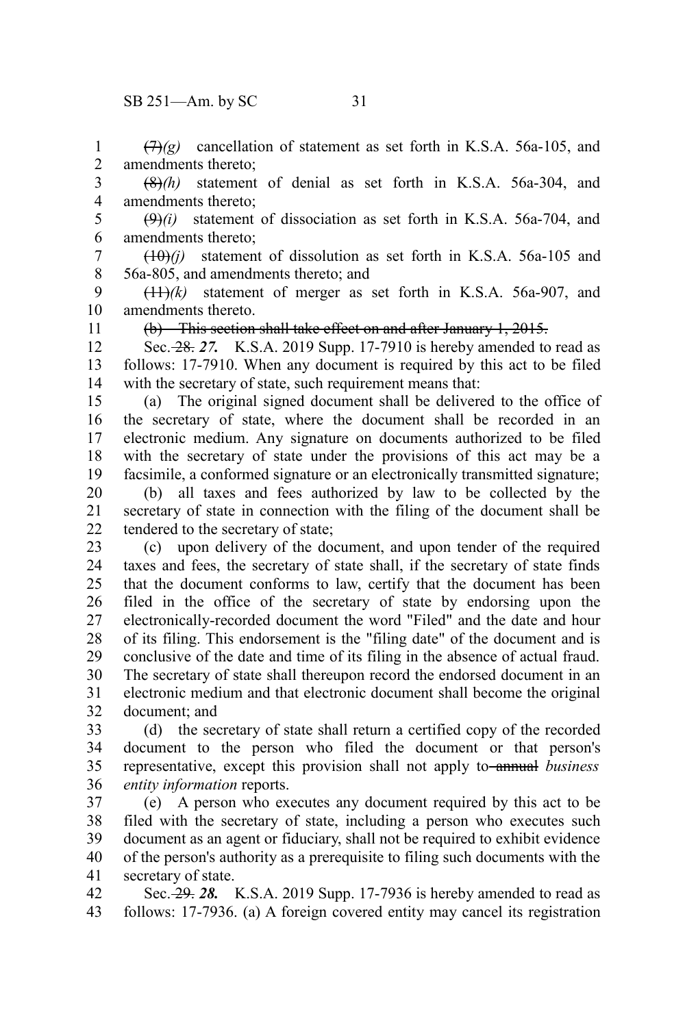$(7)$ <sup>(7)</sup> $(2)$  cancellation of statement as set forth in K.S.A. 56a-105, and amendments thereto; 1 2

(8)*(h)* statement of denial as set forth in K.S.A. 56a-304, and amendments thereto; 3 4

 $(\theta)$ *(i)* statement of dissociation as set forth in K.S.A. 56a-704, and amendments thereto; 5 6

 $(10)(i)$  statement of dissolution as set forth in K.S.A. 56a-105 and 56a-805, and amendments thereto; and 7 8

(11)*(k)* statement of merger as set forth in K.S.A. 56a-907, and amendments thereto. 9 10

11

(b) This section shall take effect on and after January 1, 2015.

Sec. 28. *27.* K.S.A. 2019 Supp. 17-7910 is hereby amended to read as follows: 17-7910. When any document is required by this act to be filed with the secretary of state, such requirement means that: 12 13 14

(a) The original signed document shall be delivered to the office of the secretary of state, where the document shall be recorded in an electronic medium. Any signature on documents authorized to be filed with the secretary of state under the provisions of this act may be a facsimile, a conformed signature or an electronically transmitted signature; 15 16 17 18 19

(b) all taxes and fees authorized by law to be collected by the secretary of state in connection with the filing of the document shall be tendered to the secretary of state; 20 21 22

(c) upon delivery of the document, and upon tender of the required taxes and fees, the secretary of state shall, if the secretary of state finds that the document conforms to law, certify that the document has been filed in the office of the secretary of state by endorsing upon the electronically-recorded document the word "Filed" and the date and hour of its filing. This endorsement is the "filing date" of the document and is conclusive of the date and time of its filing in the absence of actual fraud. The secretary of state shall thereupon record the endorsed document in an electronic medium and that electronic document shall become the original document; and 23 24 25 26 27 28 29 30 31 32

(d) the secretary of state shall return a certified copy of the recorded document to the person who filed the document or that person's representative, except this provision shall not apply to annual *business entity information* reports. 33 34 35 36

(e) A person who executes any document required by this act to be filed with the secretary of state, including a person who executes such document as an agent or fiduciary, shall not be required to exhibit evidence of the person's authority as a prerequisite to filing such documents with the secretary of state. 37 38 39 40 41

Sec. 29. *28.* K.S.A. 2019 Supp. 17-7936 is hereby amended to read as follows: 17-7936. (a) A foreign covered entity may cancel its registration 42 43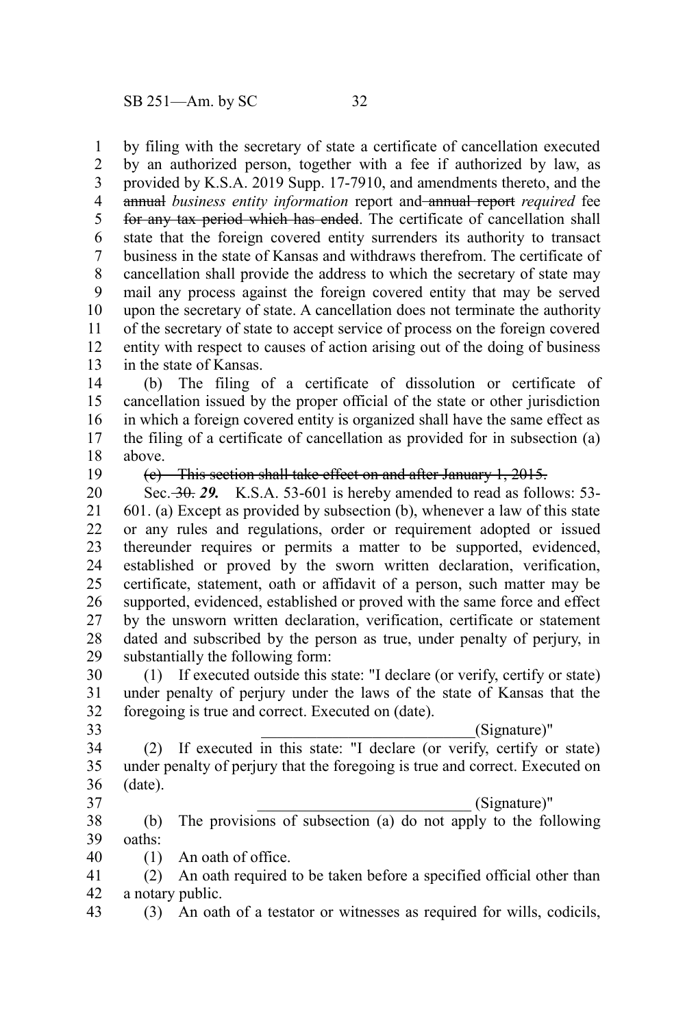by filing with the secretary of state a certificate of cancellation executed by an authorized person, together with a fee if authorized by law, as provided by K.S.A. 2019 Supp. 17-7910, and amendments thereto, and the annual *business entity information* report and annual report *required* fee for any tax period which has ended. The certificate of cancellation shall state that the foreign covered entity surrenders its authority to transact business in the state of Kansas and withdraws therefrom. The certificate of cancellation shall provide the address to which the secretary of state may mail any process against the foreign covered entity that may be served upon the secretary of state. A cancellation does not terminate the authority of the secretary of state to accept service of process on the foreign covered entity with respect to causes of action arising out of the doing of business in the state of Kansas. 1 2 3 4 5 6 7 8 9 10 11 12 13

(b) The filing of a certificate of dissolution or certificate of cancellation issued by the proper official of the state or other jurisdiction in which a foreign covered entity is organized shall have the same effect as the filing of a certificate of cancellation as provided for in subsection (a) above. 14 15 16 17 18

19

(c) This section shall take effect on and after January 1, 2015.

Sec. 30. *29.* K.S.A. 53-601 is hereby amended to read as follows: 53- 601. (a) Except as provided by subsection (b), whenever a law of this state or any rules and regulations, order or requirement adopted or issued thereunder requires or permits a matter to be supported, evidenced, established or proved by the sworn written declaration, verification, certificate, statement, oath or affidavit of a person, such matter may be supported, evidenced, established or proved with the same force and effect by the unsworn written declaration, verification, certificate or statement dated and subscribed by the person as true, under penalty of perjury, in substantially the following form: 20 21 22 23 24 25 26 27 28 29

(1) If executed outside this state: "I declare (or verify, certify or state) under penalty of perjury under the laws of the state of Kansas that the foregoing is true and correct. Executed on (date). 30 31 32

33

\_\_\_\_\_\_\_\_\_\_\_\_\_\_\_\_\_\_\_\_\_\_\_\_\_\_\_(Signature)"

(2) If executed in this state: "I declare (or verify, certify or state) under penalty of perjury that the foregoing is true and correct. Executed on (date). 34 35 36

37

\_\_\_\_\_\_\_\_\_\_\_\_\_\_\_\_\_\_\_\_\_\_\_\_\_\_\_ (Signature)"

(b) The provisions of subsection (a) do not apply to the following oaths: 38 39

- (1) An oath of office. 40
- (2) An oath required to be taken before a specified official other than a notary public. 41 42
- (3) An oath of a testator or witnesses as required for wills, codicils, 43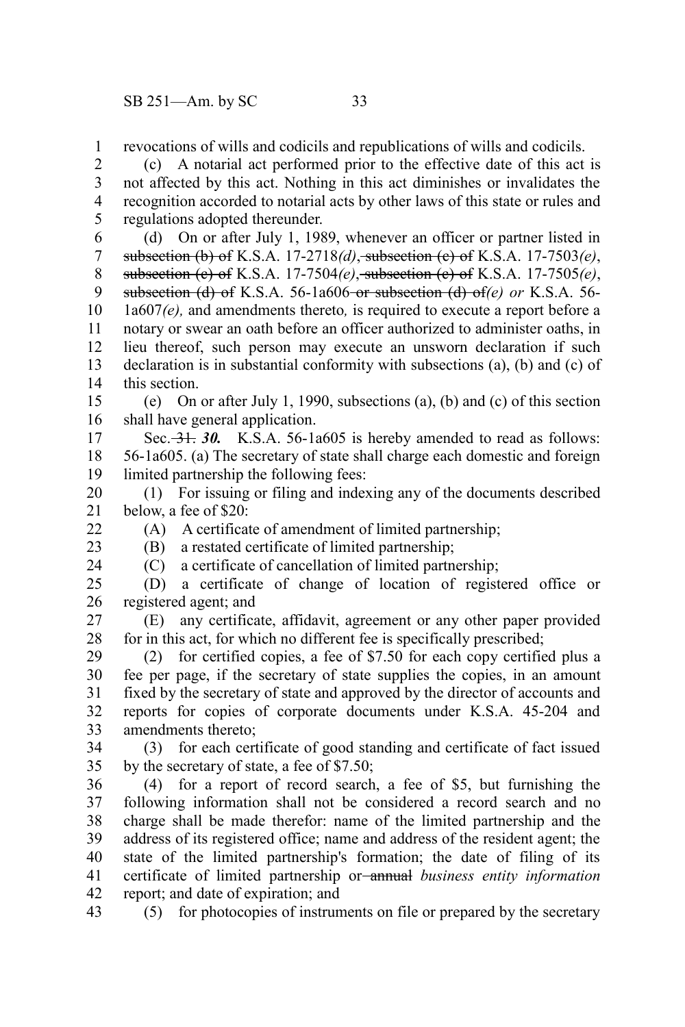revocations of wills and codicils and republications of wills and codicils. 1

(c) A notarial act performed prior to the effective date of this act is not affected by this act. Nothing in this act diminishes or invalidates the recognition accorded to notarial acts by other laws of this state or rules and regulations adopted thereunder. 2 3 4 5

(d) On or after July 1, 1989, whenever an officer or partner listed in subsection (b) of K.S.A. 17-2718*(d)*, subsection (c) of K.S.A. 17-7503*(e)*, subsection (c) of K.S.A. 17-7504*(e)*, subsection (c) of K.S.A. 17-7505*(e)*, subsection (d) of K.S.A. 56-1a606 or subsection (d) of*(e) or* K.S.A. 56- 1a607*(e),* and amendments thereto*,* is required to execute a report before a notary or swear an oath before an officer authorized to administer oaths, in lieu thereof, such person may execute an unsworn declaration if such declaration is in substantial conformity with subsections (a), (b) and (c) of this section. 6 7 8 9 10 11 12 13 14

(e) On or after July 1, 1990, subsections (a), (b) and (c) of this section shall have general application. 15 16

Sec. 31. 30. K.S.A. 56-1a605 is hereby amended to read as follows: 56-1a605. (a) The secretary of state shall charge each domestic and foreign limited partnership the following fees: 17 18 19

(1) For issuing or filing and indexing any of the documents described below, a fee of \$20: 20 21

(A) A certificate of amendment of limited partnership; (B) a restated certificate of limited partnership;

22

23 24

(C) a certificate of cancellation of limited partnership;

(D) a certificate of change of location of registered office or registered agent; and 25 26

(E) any certificate, affidavit, agreement or any other paper provided for in this act, for which no different fee is specifically prescribed; 27 28

(2) for certified copies, a fee of \$7.50 for each copy certified plus a fee per page, if the secretary of state supplies the copies, in an amount fixed by the secretary of state and approved by the director of accounts and reports for copies of corporate documents under K.S.A. 45-204 and amendments thereto; 29 30 31 32 33

(3) for each certificate of good standing and certificate of fact issued by the secretary of state, a fee of \$7.50; 34 35

(4) for a report of record search, a fee of \$5, but furnishing the following information shall not be considered a record search and no charge shall be made therefor: name of the limited partnership and the address of its registered office; name and address of the resident agent; the state of the limited partnership's formation; the date of filing of its certificate of limited partnership or annual *business entity information* report; and date of expiration; and 36 37 38 39 40 41 42

(5) for photocopies of instruments on file or prepared by the secretary 43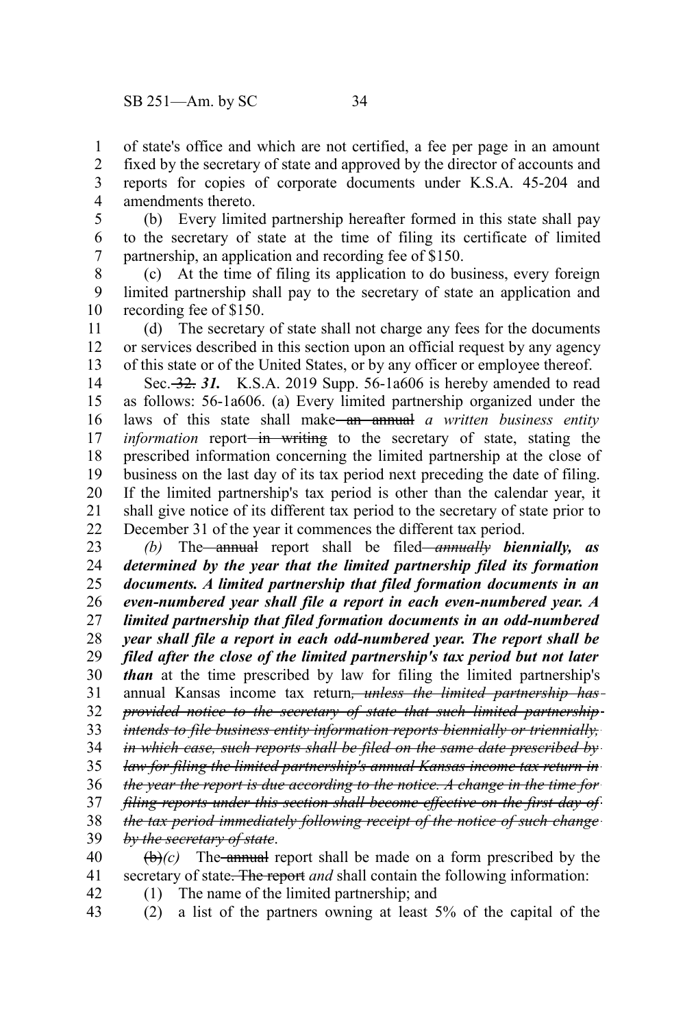of state's office and which are not certified, a fee per page in an amount fixed by the secretary of state and approved by the director of accounts and reports for copies of corporate documents under K.S.A. 45-204 and amendments thereto. 1 2 3 4

(b) Every limited partnership hereafter formed in this state shall pay to the secretary of state at the time of filing its certificate of limited partnership, an application and recording fee of \$150. 5 6 7

(c) At the time of filing its application to do business, every foreign limited partnership shall pay to the secretary of state an application and recording fee of \$150. 8 9 10

(d) The secretary of state shall not charge any fees for the documents or services described in this section upon an official request by any agency of this state or of the United States, or by any officer or employee thereof. 11 12 13

Sec. 32. *31.* K.S.A. 2019 Supp. 56-1a606 is hereby amended to read as follows: 56-1a606. (a) Every limited partnership organized under the laws of this state shall make<del> an annual</del> a written business entity *information* report<del> in writing</del> to the secretary of state, stating the prescribed information concerning the limited partnership at the close of business on the last day of its tax period next preceding the date of filing. If the limited partnership's tax period is other than the calendar year, it shall give notice of its different tax period to the secretary of state prior to December 31 of the year it commences the different tax period. 14 15 16 17 18 19 20 21 22

*(b)* The annual report shall be filed *annually biennially, as determined by the year that the limited partnership filed its formation documents. A limited partnership that filed formation documents in an even-numbered year shall file a report in each even-numbered year. A limited partnership that filed formation documents in an odd-numbered year shall file a report in each odd-numbered year. The report shall be filed after the close of the limited partnership's tax period but not later than* at the time prescribed by law for filing the limited partnership's annual Kansas income tax return*, unless the limited partnership has provided notice to the secretary of state that such limited partnership intends to file business entity information reports biennially or triennially, in which case, such reports shall be filed on the same date prescribed by law for filing the limited partnership's annual Kansas income tax return in the year the report is due according to the notice. A change in the time for filing reports under this section shall become effective on the first day of the tax period immediately following receipt of the notice of such change by the secretary of state*.  $\left(\frac{b}{c}\right)$  The annual report shall be made on a form prescribed by the 23 24 25 26 27 28 29 30 31 32 33 34 35 36 37 38 39 40

secretary of state. The report *and* shall contain the following information: 41 42

(1) The name of the limited partnership; and

(2) a list of the partners owning at least 5% of the capital of the 43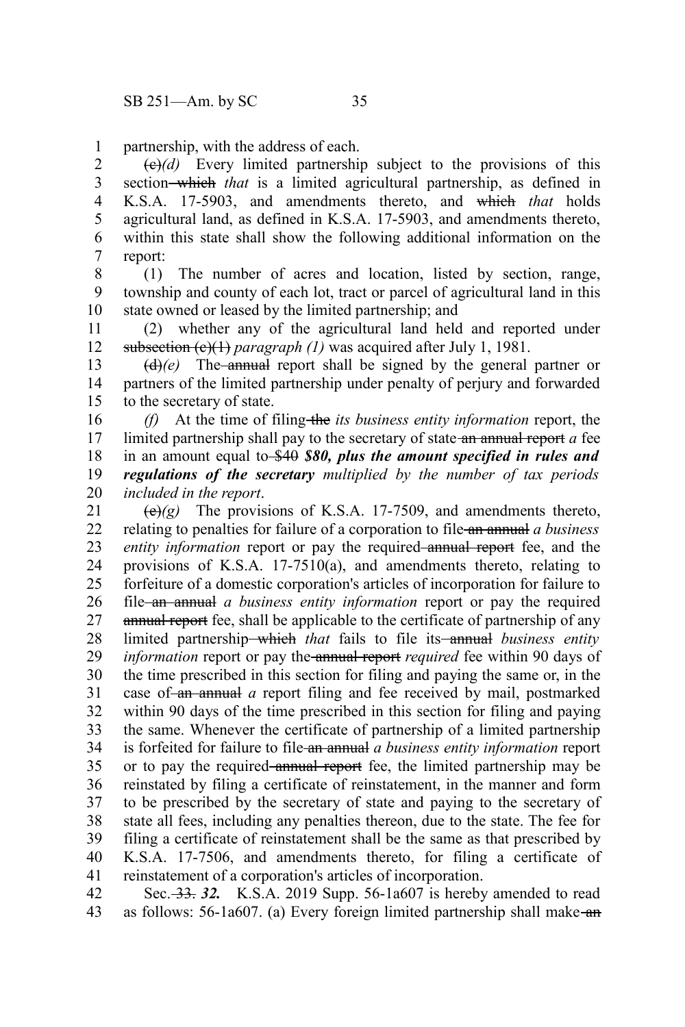partnership, with the address of each. 1

 $\left(\frac{e}{e}\right)$  Every limited partnership subject to the provisions of this section-which *that* is a limited agricultural partnership, as defined in K.S.A. 17-5903, and amendments thereto, and which *that* holds agricultural land, as defined in K.S.A. 17-5903, and amendments thereto, within this state shall show the following additional information on the report: 2 3 4 5 6 7

(1) The number of acres and location, listed by section, range, township and county of each lot, tract or parcel of agricultural land in this state owned or leased by the limited partnership; and 8 9 10

(2) whether any of the agricultural land held and reported under subsection (c)(1) *paragraph (1)* was acquired after July 1, 1981. 11 12

 $(d)$ (*e*) The annual report shall be signed by the general partner or partners of the limited partnership under penalty of perjury and forwarded to the secretary of state. 13 14 15

*(f)* At the time of filing the *its business entity information* report, the limited partnership shall pay to the secretary of state an annual report *a* fee in an amount equal to \$40 *\$80, plus the amount specified in rules and regulations of the secretary multiplied by the number of tax periods included in the report*. 16 17 18 19 20

 $\left(\frac{e}{e}\right)(g)$  The provisions of K.S.A. 17-7509, and amendments thereto, relating to penalties for failure of a corporation to file an annual *a business entity information* report or pay the required annual report fee, and the provisions of K.S.A. 17-7510(a), and amendments thereto, relating to forfeiture of a domestic corporation's articles of incorporation for failure to file an annual *a business entity information* report or pay the required annual report fee, shall be applicable to the certificate of partnership of any limited partnership—which *that* fails to file its—annual *business entity information* report or pay the annual report *required* fee within 90 days of the time prescribed in this section for filing and paying the same or, in the case of an annual *a* report filing and fee received by mail, postmarked within 90 days of the time prescribed in this section for filing and paying the same. Whenever the certificate of partnership of a limited partnership is forfeited for failure to file an annual *a business entity information* report or to pay the required annual report fee, the limited partnership may be reinstated by filing a certificate of reinstatement, in the manner and form to be prescribed by the secretary of state and paying to the secretary of state all fees, including any penalties thereon, due to the state. The fee for filing a certificate of reinstatement shall be the same as that prescribed by K.S.A. 17-7506, and amendments thereto, for filing a certificate of reinstatement of a corporation's articles of incorporation. 21 22 23 24 25 26 27 28 29 30 31 32 33 34 35 36 37 38 39 40 41

Sec. 33. *32.* K.S.A. 2019 Supp. 56-1a607 is hereby amended to read as follows: 56-1a607. (a) Every foreign limited partnership shall make-an-42 43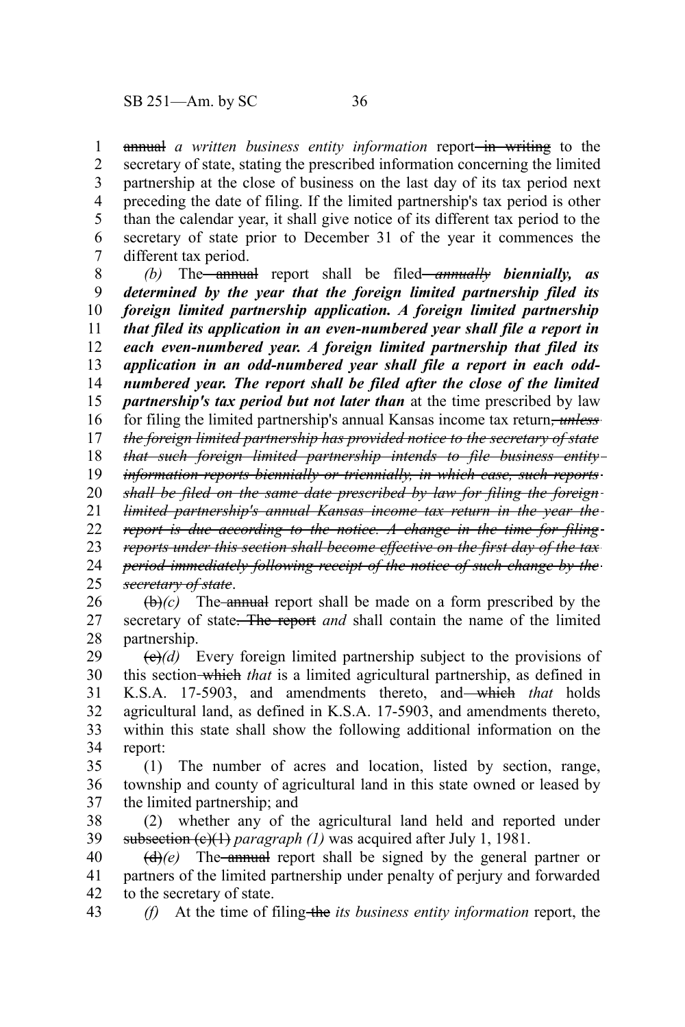annual *a written business entity information* report<del> in writing</del> to the secretary of state, stating the prescribed information concerning the limited partnership at the close of business on the last day of its tax period next preceding the date of filing. If the limited partnership's tax period is other than the calendar year, it shall give notice of its different tax period to the secretary of state prior to December 31 of the year it commences the different tax period. 1 2 3 4 5 6 7

*(b)* The annual report shall be filed *annually biennially, as determined by the year that the foreign limited partnership filed its foreign limited partnership application. A foreign limited partnership that filed its application in an even-numbered year shall file a report in each even-numbered year. A foreign limited partnership that filed its application in an odd-numbered year shall file a report in each oddnumbered year. The report shall be filed after the close of the limited partnership's tax period but not later than* at the time prescribed by law for filing the limited partnership's annual Kansas income tax return*, unless the foreign limited partnership has provided notice to the secretary of state* 8 9 10 11 12 13 14 15 16 17

*that such foreign limited partnership intends to file business entity* 18

*information reports biennially or triennially, in which case, such reports* 19

*shall be filed on the same date prescribed by law for filing the foreign* 20

*limited partnership's annual Kansas income tax return in the year the* 21

*report is due according to the notice. A change in the time for filing* 22

*reports under this section shall become effective on the first day of the tax* 23

*period immediately following receipt of the notice of such change by the secretary of state*. 24 25

 $(\theta)$  (c) The annual report shall be made on a form prescribed by the secretary of state. The report *and* shall contain the name of the limited partnership. 26 27 28

 $\left(\frac{\theta}{\theta}\right)$  Every foreign limited partnership subject to the provisions of this section which *that* is a limited agricultural partnership, as defined in K.S.A. 17-5903, and amendments thereto, and which *that* holds agricultural land, as defined in K.S.A. 17-5903, and amendments thereto, within this state shall show the following additional information on the report: 29 30 31 32 33 34

(1) The number of acres and location, listed by section, range, township and county of agricultural land in this state owned or leased by the limited partnership; and 35 36 37

(2) whether any of the agricultural land held and reported under subsection (e)(1) *paragraph* (1) was acquired after July 1, 1981. 38 39

 $(d)$ (e) The annual report shall be signed by the general partner or partners of the limited partnership under penalty of perjury and forwarded to the secretary of state. 40 41 42

*(f)* At the time of filing the *its business entity information* report, the 43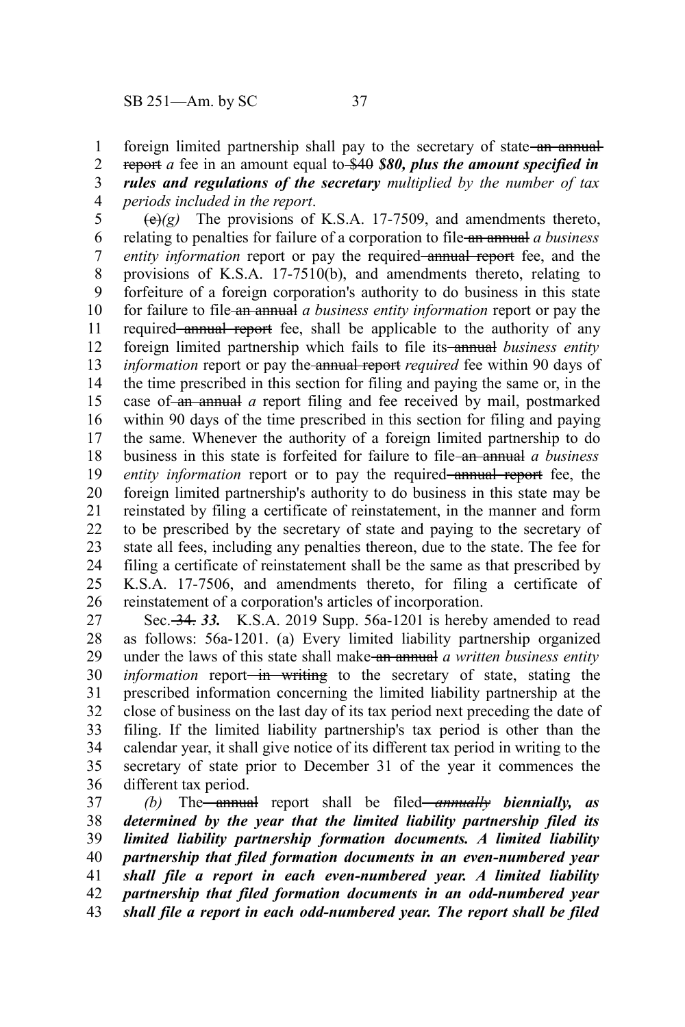foreign limited partnership shall pay to the secretary of state an annual-1

report *a* fee in an amount equal to \$40 *\$80, plus the amount specified in* 2 3

*rules and regulations of the secretary multiplied by the number of tax periods included in the report*. 4

 $\left(\frac{e}{e}\right)(g)$  The provisions of K.S.A. 17-7509, and amendments thereto, relating to penalties for failure of a corporation to file an annual *a business entity information* report or pay the required annual report fee, and the provisions of K.S.A. 17-7510(b), and amendments thereto, relating to forfeiture of a foreign corporation's authority to do business in this state for failure to file an annual *a business entity information* report or pay the required annual report fee, shall be applicable to the authority of any foreign limited partnership which fails to file its annual *business entity information* report or pay the-annual report *required* fee within 90 days of the time prescribed in this section for filing and paying the same or, in the case of an annual *a* report filing and fee received by mail, postmarked within 90 days of the time prescribed in this section for filing and paying the same. Whenever the authority of a foreign limited partnership to do business in this state is forfeited for failure to file an annual *a business entity information* report or to pay the required annual report fee, the foreign limited partnership's authority to do business in this state may be reinstated by filing a certificate of reinstatement, in the manner and form to be prescribed by the secretary of state and paying to the secretary of state all fees, including any penalties thereon, due to the state. The fee for filing a certificate of reinstatement shall be the same as that prescribed by K.S.A. 17-7506, and amendments thereto, for filing a certificate of reinstatement of a corporation's articles of incorporation. 5 6 7 8 9 10 11 12 13 14 15 16 17 18 19 20 21 22 23 24 25 26

Sec. 34. *33.* K.S.A. 2019 Supp. 56a-1201 is hereby amended to read as follows: 56a-1201. (a) Every limited liability partnership organized under the laws of this state shall make an annual *a written business entity information* report<del> in writing</del> to the secretary of state, stating the prescribed information concerning the limited liability partnership at the close of business on the last day of its tax period next preceding the date of filing. If the limited liability partnership's tax period is other than the calendar year, it shall give notice of its different tax period in writing to the secretary of state prior to December 31 of the year it commences the different tax period. 27 28 29 30 31 32 33 34 35 36

*(b)* The annual report shall be filed *annually biennially, as determined by the year that the limited liability partnership filed its limited liability partnership formation documents. A limited liability partnership that filed formation documents in an even-numbered year shall file a report in each even-numbered year. A limited liability partnership that filed formation documents in an odd-numbered year shall file a report in each odd-numbered year. The report shall be filed* 37 38 39 40 41 42 43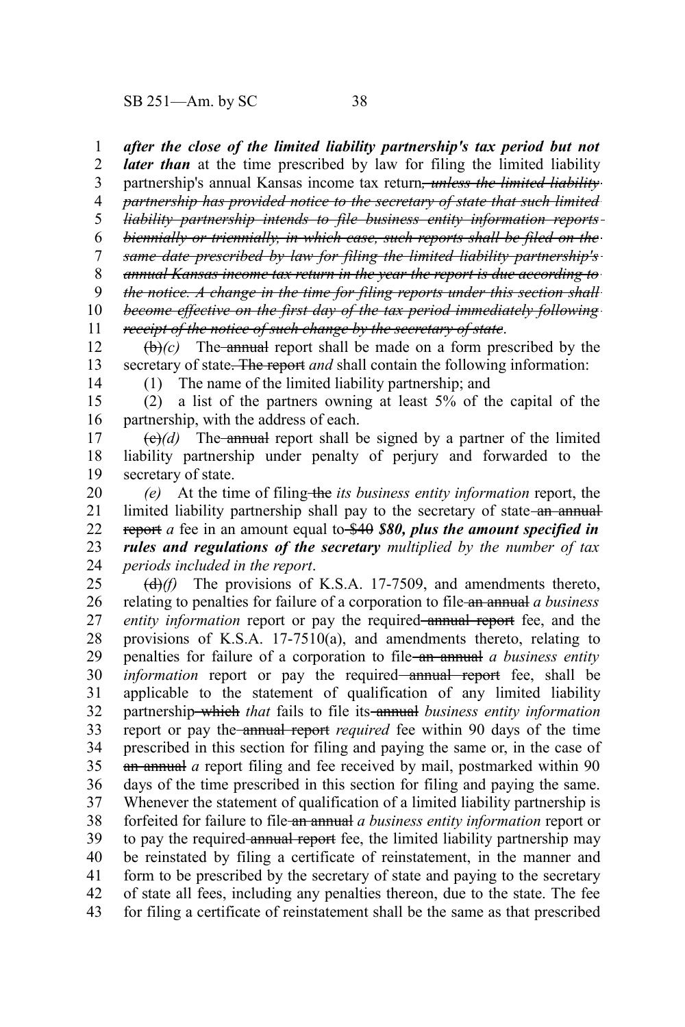SB 251—Am. by SC 38

*after the close of the limited liability partnership's tax period but not* 1

*later than* at the time prescribed by law for filing the limited liability 2

partnership's annual Kansas income tax return*, unless the limited liability partnership has provided notice to the secretary of state that such limited* 3 4

*liability partnership intends to file business entity information reports* 5

*biennially or triennially, in which case, such reports shall be filed on the* 6

*same date prescribed by law for filing the limited liability partnership's* 7

*annual Kansas income tax return in the year the report is due according to* 8

*the notice. A change in the time for filing reports under this section shall* 9

*become effective on the first day of the tax period immediately following receipt of the notice of such change by the secretary of state*. 10 11

 $\left(\frac{b}{c}\right)$  The annual report shall be made on a form prescribed by the secretary of state. The report *and* shall contain the following information: 12 13

14

(1) The name of the limited liability partnership; and

(2) a list of the partners owning at least 5% of the capital of the partnership, with the address of each. 15 16

 $\left(\frac{e}{e}\right)$  The annual report shall be signed by a partner of the limited liability partnership under penalty of perjury and forwarded to the secretary of state. 17 18 19

*(e)* At the time of filing the *its business entity information* report, the limited liability partnership shall pay to the secretary of state-an annualreport *a* fee in an amount equal to \$40 *\$80, plus the amount specified in rules and regulations of the secretary multiplied by the number of tax periods included in the report*. 20 21 22 23 24

(d)*(f)* The provisions of K.S.A. 17-7509, and amendments thereto, relating to penalties for failure of a corporation to file an annual *a business entity information* report or pay the required annual report fee, and the provisions of K.S.A. 17-7510(a), and amendments thereto, relating to penalties for failure of a corporation to file an annual *a business entity information* report or pay the required—annual report fee, shall be applicable to the statement of qualification of any limited liability partnership which *that* fails to file its annual *business entity information* report or pay the annual report *required* fee within 90 days of the time prescribed in this section for filing and paying the same or, in the case of an annual *a* report filing and fee received by mail, postmarked within 90 days of the time prescribed in this section for filing and paying the same. Whenever the statement of qualification of a limited liability partnership is forfeited for failure to file an annual *a business entity information* report or to pay the required annual report fee, the limited liability partnership may be reinstated by filing a certificate of reinstatement, in the manner and form to be prescribed by the secretary of state and paying to the secretary of state all fees, including any penalties thereon, due to the state. The fee for filing a certificate of reinstatement shall be the same as that prescribed 25 26 27 28 29 30 31 32 33 34 35 36 37 38 39 40 41 42 43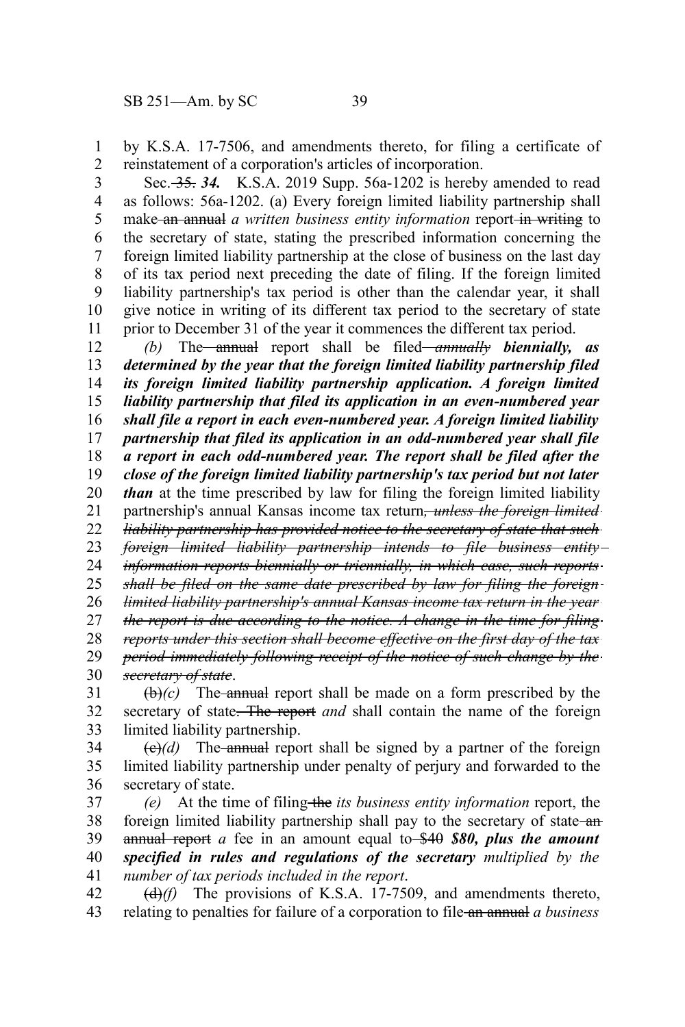by K.S.A. 17-7506, and amendments thereto, for filing a certificate of reinstatement of a corporation's articles of incorporation. 1 2

Sec. 35. *34.* K.S.A. 2019 Supp. 56a-1202 is hereby amended to read as follows: 56a-1202. (a) Every foreign limited liability partnership shall make an annual *a written business entity information* report-in writing to the secretary of state, stating the prescribed information concerning the foreign limited liability partnership at the close of business on the last day of its tax period next preceding the date of filing. If the foreign limited liability partnership's tax period is other than the calendar year, it shall give notice in writing of its different tax period to the secretary of state prior to December 31 of the year it commences the different tax period. 3 4 5 6 7 8 9 10 11

*(b)* The annual report shall be filed *annually biennially, as determined by the year that the foreign limited liability partnership filed its foreign limited liability partnership application. A foreign limited liability partnership that filed its application in an even-numbered year shall file a report in each even-numbered year. A foreign limited liability partnership that filed its application in an odd-numbered year shall file a report in each odd-numbered year. The report shall be filed after the close of the foreign limited liability partnership's tax period but not later than* at the time prescribed by law for filing the foreign limited liability partnership's annual Kansas income tax return*, unless the foreign limited liability partnership has provided notice to the secretary of state that such foreign limited liability partnership intends to file business entity information reports biennially or triennially, in which case, such reports shall be filed on the same date prescribed by law for filing the foreign limited liability partnership's annual Kansas income tax return in the year the report is due according to the notice. A change in the time for filing reports under this section shall become effective on the first day of the tax period immediately following receipt of the notice of such change by the secretary of state*. 12 13 14 15 16 17 18 19 20 21 22 23 24 25 26 27 28 29 30

 $(\theta)$  (c) The annual report shall be made on a form prescribed by the secretary of state. The report *and* shall contain the name of the foreign limited liability partnership. 31 32 33

 $\left(\frac{e}{e}\right)$  The annual report shall be signed by a partner of the foreign limited liability partnership under penalty of perjury and forwarded to the secretary of state. 34 35 36

*(e)* At the time of filing the *its business entity information* report, the foreign limited liability partnership shall pay to the secretary of state-anannual report *a* fee in an amount equal to \$40 *\$80, plus the amount specified in rules and regulations of the secretary multiplied by the number of tax periods included in the report*. 37 38 39 40 41

(d)*(f)* The provisions of K.S.A. 17-7509, and amendments thereto, relating to penalties for failure of a corporation to file an annual *a business* 42 43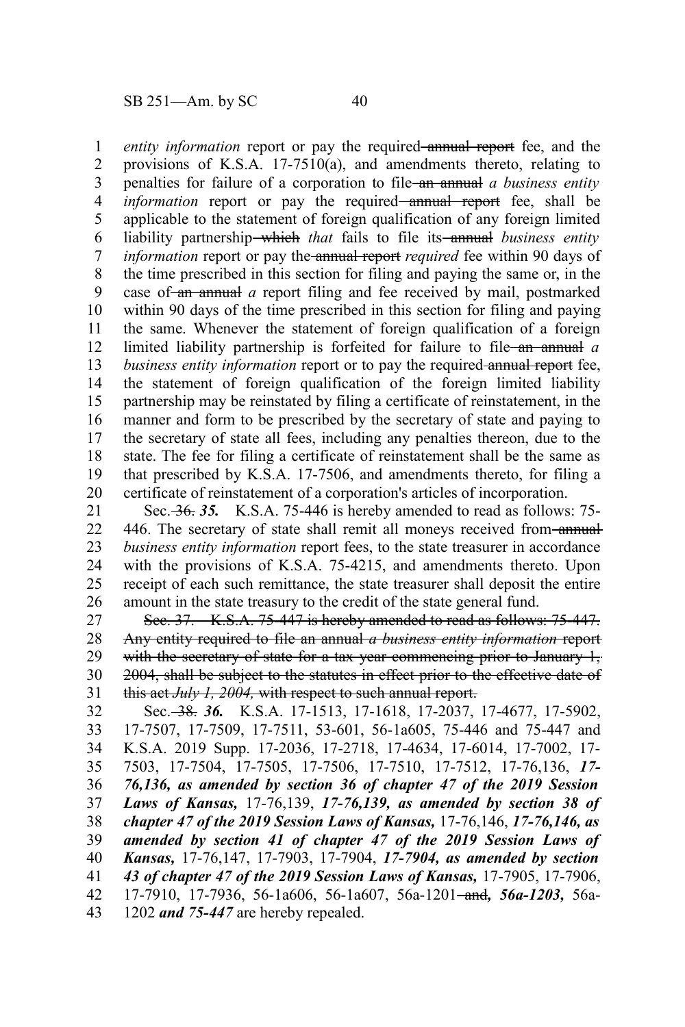*entity information* report or pay the required annual report fee, and the provisions of K.S.A. 17-7510(a), and amendments thereto, relating to penalties for failure of a corporation to file an annual *a business entity information* report or pay the required—annual report fee, shall be applicable to the statement of foreign qualification of any foreign limited liability partnership—which *that* fails to file its—annual *business entity information* report or pay the annual report *required* fee within 90 days of the time prescribed in this section for filing and paying the same or, in the case of an annual *a* report filing and fee received by mail, postmarked within 90 days of the time prescribed in this section for filing and paying the same. Whenever the statement of foreign qualification of a foreign limited liability partnership is forfeited for failure to file an annual *a business entity information* report or to pay the required-annual report fee, the statement of foreign qualification of the foreign limited liability partnership may be reinstated by filing a certificate of reinstatement, in the manner and form to be prescribed by the secretary of state and paying to the secretary of state all fees, including any penalties thereon, due to the state. The fee for filing a certificate of reinstatement shall be the same as that prescribed by K.S.A. 17-7506, and amendments thereto, for filing a certificate of reinstatement of a corporation's articles of incorporation. 1 2 3 4 5 6 7 8 9 10 11 12 13 14 15 16 17 18 19 20

Sec. 36. *35.* K.S.A. 75-446 is hereby amended to read as follows: 75- 446. The secretary of state shall remit all moneys received from-annual*business entity information* report fees, to the state treasurer in accordance with the provisions of K.S.A. 75-4215, and amendments thereto. Upon receipt of each such remittance, the state treasurer shall deposit the entire amount in the state treasury to the credit of the state general fund. 21 22 23 24 25 26

Sec. 37. K.S.A. 75-447 is hereby amended to read as follows: 75-447. Any entity required to file an annual *a business entity information* report with the secretary of state for a tax year commencing prior to January 1, 2004, shall be subject to the statutes in effect prior to the effective date of this act *July 1, 2004,* with respect to such annual report. 27 28 29 30 31

Sec. 38. *36.* K.S.A. 17-1513, 17-1618, 17-2037, 17-4677, 17-5902, 17-7507, 17-7509, 17-7511, 53-601, 56-1a605, 75-446 and 75-447 and K.S.A. 2019 Supp. 17-2036, 17-2718, 17-4634, 17-6014, 17-7002, 17- 7503, 17-7504, 17-7505, 17-7506, 17-7510, 17-7512, 17-76,136, *17- 76,136, as amended by section 36 of chapter 47 of the 2019 Session Laws of Kansas,* 17-76,139, *17-76,139, as amended by section 38 of chapter 47 of the 2019 Session Laws of Kansas,* 17-76,146, *17-76,146, as amended by section 41 of chapter 47 of the 2019 Session Laws of Kansas,* 17-76,147, 17-7903, 17-7904, *17-7904, as amended by section 43 of chapter 47 of the 2019 Session Laws of Kansas,* 17-7905, 17-7906, 17-7910, 17-7936, 56-1a606, 56-1a607, 56a-1201 and*, 56a-1203,* 56a-1202 *and 75-447* are hereby repealed. 32 33 34 35 36 37 38 39 40 41 42 43